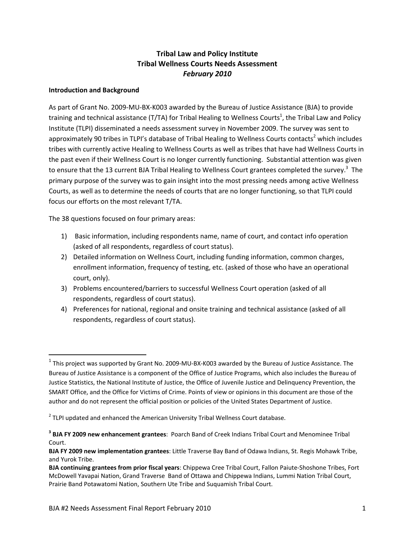### **Tribal Law and Policy Institute Tribal Wellness Courts Needs Assessment** *February 2010*

### **Introduction and Background**

As part of Grant No. 2009‐MU‐BX‐K003 awarded by the Bureau of Justice Assistance (BJA) to provide training and technical assistance (T/TA) for Tribal Healing to Wellness Courts<sup>1</sup>, the Tribal Law and Policy Institute (TLPI) disseminated a needs assessment survey in November 2009. The survey was sent to approximately 90 tribes in TLPI's database of Tribal Healing to Wellness Courts contacts<sup>2</sup> which includes tribes with currently active Healing to Wellness Courts as well as tribes that have had Wellness Courts in the past even if their Wellness Court is no longer currently functioning. Substantial attention was given to ensure that the 13 current BJA Tribal Healing to Wellness Court grantees completed the survey.<sup>3</sup> The primary purpose of the survey was to gain insight into the most pressing needs among active Wellness Courts, as well as to determine the needs of courts that are no longer functioning, so that TLPI could focus our efforts on the most relevant T/TA.

The 38 questions focused on four primary areas:

- 1) Basic information, including respondents name, name of court, and contact info operation (asked of all respondents, regardless of court status).
- 2) Detailed information on Wellness Court, including funding information, common charges, enrollment information, frequency of testing, etc. (asked of those who have an operational court, only).
- 3) Problems encountered/barriers to successful Wellness Court operation (asked of all respondents, regardless of court status).
- 4) Preferences for national, regional and onsite training and technical assistance (asked of all respondents, regardless of court status).

 $1$  This project was supported by Grant No. 2009-MU-BX-K003 awarded by the Bureau of Justice Assistance. The Bureau of Justice Assistance is a component of the Office of Justice Programs, which also includes the Bureau of Justice Statistics, the National Institute of Justice, the Office of Juvenile Justice and Delinquency Prevention, the SMART Office, and the Office for Victims of Crime. Points of view or opinions in this document are those of the author and do not represent the official position or policies of the United States Department of Justice.

 $2$  TLPI updated and enhanced the American University Tribal Wellness Court database.

**<sup>3</sup> BJA FY 2009 new enhancement grantees**: Poarch Band of Creek Indians Tribal Court and Menominee Tribal Court.

**BJA FY 2009 new implementation grantees**: Little Traverse Bay Band of Odawa Indians, St. Regis Mohawk Tribe, and Yurok Tribe.

**BJA continuing grantees from prior fiscal years**: Chippewa Cree Tribal Court, Fallon Paiute‐Shoshone Tribes, Fort McDowell Yavapai Nation, Grand Traverse Band of Ottawa and Chippewa Indians, Lummi Nation Tribal Court, Prairie Band Potawatomi Nation, Southern Ute Tribe and Suquamish Tribal Court.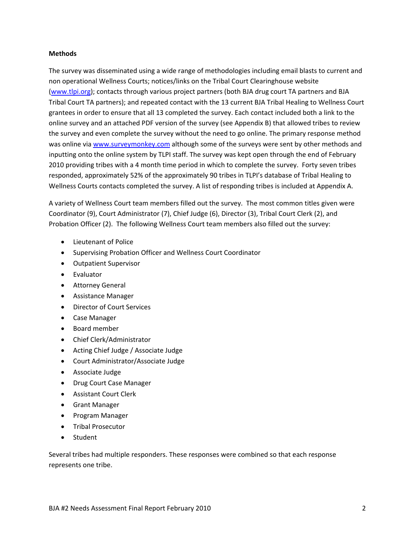### **Methods**

The survey was disseminated using a wide range of methodologies including email blasts to current and non operational Wellness Courts; notices/links on the Tribal Court Clearinghouse website (www.tlpi.org); contacts through various project partners (both BJA drug court TA partners and BJA Tribal Court TA partners); and repeated contact with the 13 current BJA Tribal Healing to Wellness Court grantees in order to ensure that all 13 completed the survey. Each contact included both a link to the online survey and an attached PDF version of the survey (see Appendix B) that allowed tribes to review the survey and even complete the survey without the need to go online. The primary response method was online via www.surveymonkey.com although some of the surveys were sent by other methods and inputting onto the online system by TLPI staff. The survey was kept open through the end of February 2010 providing tribes with a 4 month time period in which to complete the survey. Forty seven tribes responded, approximately 52% of the approximately 90 tribes in TLPI's database of Tribal Healing to Wellness Courts contacts completed the survey. A list of responding tribes is included at Appendix A.

A variety of Wellness Court team members filled out the survey. The most common titles given were Coordinator (9), Court Administrator (7), Chief Judge (6), Director (3), Tribal Court Clerk (2), and Probation Officer (2). The following Wellness Court team members also filled out the survey:

- Lieutenant of Police
- Supervising Probation Officer and Wellness Court Coordinator
- Outpatient Supervisor
- Fvaluator
- Attorney General
- Assistance Manager
- Director of Court Services
- Case Manager
- Board member
- Chief Clerk/Administrator
- Acting Chief Judge / Associate Judge
- Court Administrator/Associate Judge
- Associate Judge
- Drug Court Case Manager
- Assistant Court Clerk
- **•** Grant Manager
- Program Manager
- **•** Tribal Prosecutor
- Student

Several tribes had multiple responders. These responses were combined so that each response represents one tribe.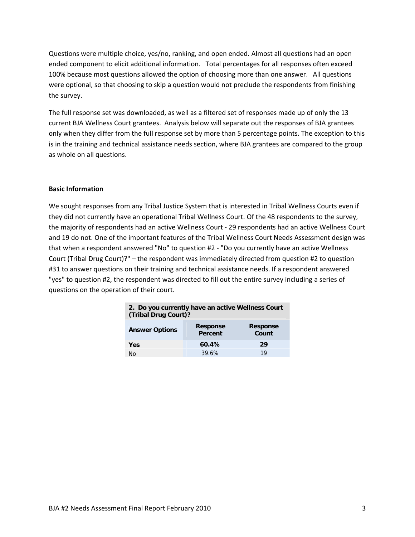Questions were multiple choice, yes/no, ranking, and open ended. Almost all questions had an open ended component to elicit additional information. Total percentages for all responses often exceed 100% because most questions allowed the option of choosing more than one answer. All questions were optional, so that choosing to skip a question would not preclude the respondents from finishing the survey.

The full response set was downloaded, as well as a filtered set of responses made up of only the 13 current BJA Wellness Court grantees. Analysis below will separate out the responses of BJA grantees only when they differ from the full response set by more than 5 percentage points. The exception to this is in the training and technical assistance needs section, where BJA grantees are compared to the group as whole on all questions.

### **Basic Information**

We sought responses from any Tribal Justice System that is interested in Tribal Wellness Courts even if they did not currently have an operational Tribal Wellness Court. Of the 48 respondents to the survey, the majority of respondents had an active Wellness Court ‐ 29 respondents had an active Wellness Court and 19 do not. One of the important features of the Tribal Wellness Court Needs Assessment design was that when a respondent answered "No" to question #2 ‐ "Do you currently have an active Wellness Court (Tribal Drug Court)?" – the respondent was immediately directed from question #2 to question #31 to answer questions on their training and technical assistance needs. If a respondent answered "yes" to question #2, the respondent was directed to fill out the entire survey including a series of questions on the operation of their court.

| 2. Do you currently have an active Wellness Court<br>(Tribal Drug Court)? |                            |                          |  |
|---------------------------------------------------------------------------|----------------------------|--------------------------|--|
| <b>Answer Options</b>                                                     | <b>Response</b><br>Percent | <b>Response</b><br>Count |  |
| Yes                                                                       | 60.4%                      | 29                       |  |
| N٥                                                                        | 39.6%                      | 10                       |  |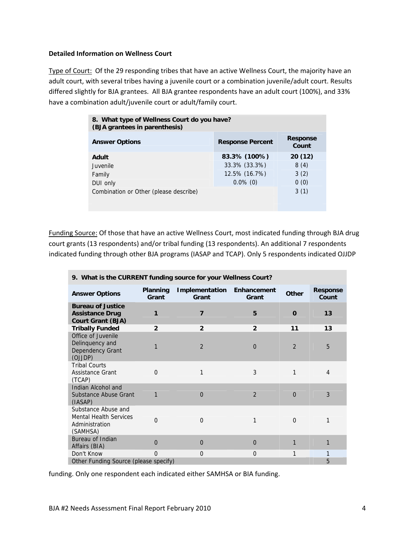### **Detailed Information on Wellness Court**

Type of Court: Of the 29 responding tribes that have an active Wellness Court, the majority have an adult court, with several tribes having a juvenile court or a combination juvenile/adult court. Results differed slightly for BJA grantees. All BJA grantee respondents have an adult court (100%), and 33% have a combination adult/juvenile court or adult/family court.

| 8. What type of Wellness Court do you have?<br>(BJA grantees in parenthesis) |                         |                          |  |
|------------------------------------------------------------------------------|-------------------------|--------------------------|--|
| <b>Answer Options</b>                                                        | <b>Response Percent</b> | <b>Response</b><br>Count |  |
| Adult                                                                        | 83.3% (100%)            | 20(12)                   |  |
| Juvenile                                                                     | 33.3% (33.3%)           | 8(4)                     |  |
| Family                                                                       | 12.5% (16.7%)           | 3(2)                     |  |
| DUI only                                                                     | $0.0\%$ (0)             | 0(0)                     |  |
| Combination or Other (please describe)                                       |                         | 3(1)                     |  |
|                                                                              |                         |                          |  |
|                                                                              |                         |                          |  |

Funding Source: Of those that have an active Wellness Court, most indicated funding through BJA drug court grants (13 respondents) and/or tribal funding (13 respondents). An additional 7 respondents indicated funding through other BJA programs (IASAP and TCAP). Only 5 respondents indicated OJJDP

| 9. What is the CURRENT funding source for your Wellness Court?                     |                   |                         |                      |                |                          |
|------------------------------------------------------------------------------------|-------------------|-------------------------|----------------------|----------------|--------------------------|
| <b>Answer Options</b>                                                              | Planning<br>Grant | Implementation<br>Grant | Enhancement<br>Grant | Other          | <b>Response</b><br>Count |
| <b>Bureau of Justice</b><br><b>Assistance Drug</b><br><b>Court Grant (BJA)</b>     |                   | 7                       | 5                    | $\mathbf 0$    | 13                       |
| <b>Tribally Funded</b>                                                             | $\overline{2}$    | $\overline{2}$          | $\overline{2}$       | 11             | 13                       |
| Office of Juvenile<br>Delinquency and<br>Dependency Grant<br>(OJJDP)               | 1                 | $\overline{2}$          | $\Omega$             | $\overline{2}$ | 5                        |
| <b>Tribal Courts</b><br>Assistance Grant<br>(TCAP)                                 | $\Omega$          | 1                       | 3                    | 1              | 4                        |
| Indian Alcohol and<br>Substance Abuse Grant<br>(IASAP)                             | 1                 | $\Omega$                | $\overline{2}$       | $\Omega$       | 3                        |
| Substance Abuse and<br><b>Mental Health Services</b><br>Administration<br>(SAMHSA) | $\Omega$          | $\Omega$                | 1                    | $\Omega$       | 1                        |
| Bureau of Indian<br>Affairs (BIA)                                                  | $\Omega$          | $\Omega$                | $\Omega$             | 1              | 1                        |
| Don't Know                                                                         | $\Omega$          | $\Omega$                | $\Omega$             | 1              | 1                        |
| Other Funding Source (please specify)                                              |                   |                         |                      | 5              |                          |

funding. Only one respondent each indicated either SAMHSA or BIA funding.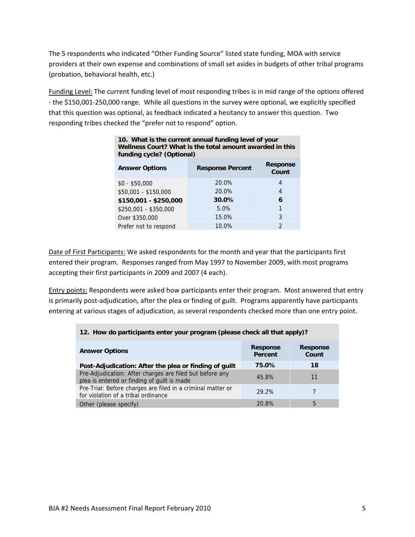The 5 respondents who indicated "Other Funding Source" listed state funding, MOA with service providers at their own expense and combinations of small set asides in budgets of other tribal programs (probation, behavioral health, etc.)

Funding Level: The current funding level of most responding tribes is in mid range of the options offered ‐ the \$150,001‐250,000 range. While all questions in the survey were optional, we explicitly specified that this question was optional, as feedback indicated a hesitancy to answer this question. Two responding tribes checked the "prefer not to respond" option.

| 10. What is the current annual funding level of your<br>Wellness Court? What is the total amount awarded in this<br>funding cycle? (Optional) |                         |                          |  |
|-----------------------------------------------------------------------------------------------------------------------------------------------|-------------------------|--------------------------|--|
| <b>Answer Options</b>                                                                                                                         | <b>Response Percent</b> | <b>Response</b><br>Count |  |
| $$0 - $50,000$                                                                                                                                | 20.0%                   | 4                        |  |
| \$50,001 - \$150,000                                                                                                                          | 20.0%                   | 4                        |  |
| \$150,001 - \$250,000                                                                                                                         | 30.0%                   | 6                        |  |
| \$250,001 - \$350,000                                                                                                                         | 5.0%                    | 1                        |  |
| Over \$350,000                                                                                                                                | 15.0%                   | 3                        |  |
| Prefer not to respond                                                                                                                         | 10.0%                   | 2                        |  |

Date of First Participants: We asked respondents for the month and year that the participants first entered their program. Responses ranged from May 1997 to November 2009, with most programs accepting their first participants in 2009 and 2007 (4 each).

Entry points: Respondents were asked how participants enter their program. Most answered that entry is primarily post-adjudication, after the plea or finding of guilt. Programs apparently have participants entering at various stages of adjudication, as several respondents checked more than one entry point.

|  |  |  | 12. How do participants enter your program (please check all that apply)? |
|--|--|--|---------------------------------------------------------------------------|
|  |  |  |                                                                           |

| <b>Answer Options</b>                                                                                   | <b>Response</b><br>Percent | <b>Response</b><br>Count |
|---------------------------------------------------------------------------------------------------------|----------------------------|--------------------------|
| Post-Adjudication: After the plea or finding of guilt                                                   | 75.0%                      | 18                       |
| Pre-Adjudication: After charges are filed but before any<br>plea is entered or finding of guilt is made | 45.8%                      | 11                       |
| Pre-Trial: Before charges are filed in a criminal matter or<br>for violation of a tribal ordinance      | 29.2%                      |                          |
| Other (please specify)                                                                                  | 20.8%                      | 5                        |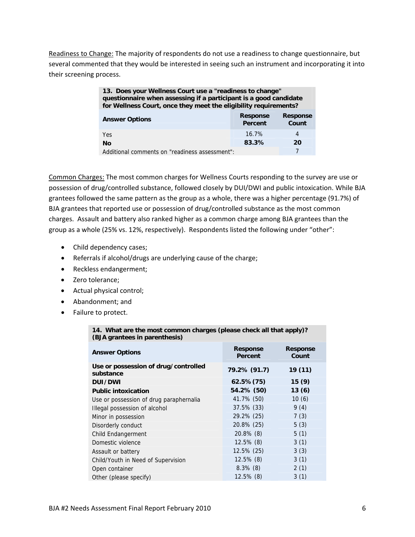Readiness to Change: The majority of respondents do not use a readiness to change questionnaire, but several commented that they would be interested in seeing such an instrument and incorporating it into their screening process.

#### **13. Does your Wellness Court use a "readiness to change" questionnaire when assessing if a participant is a good candidate for Wellness Court, once they meet the eligibility requirements?**

| <b>Answer Options</b>                          | <b>Response</b><br>Percent | <b>Response</b><br>Count |
|------------------------------------------------|----------------------------|--------------------------|
| <b>Yes</b>                                     | $16.7\%$                   |                          |
| Nο                                             | 83.3%                      | 20                       |
| Additional comments on "readiness assessment": |                            |                          |

Common Charges: The most common charges for Wellness Courts responding to the survey are use or possession of drug/controlled substance, followed closely by DUI/DWI and public intoxication. While BJA grantees followed the same pattern as the group as a whole, there was a higher percentage (91.7%) of BJA grantees that reported use or possession of drug/controlled substance as the most common charges. Assault and battery also ranked higher as a common charge among BJA grantees than the group as a whole (25% vs. 12%, respectively). Respondents listed the following under "other":

- Child dependency cases;
- Referrals if alcohol/drugs are underlying cause of the charge;
- Reckless endangerment;
- Zero tolerance;
- Actual physical control;
- Abandonment; and
- Failure to protect.

| (BJA grantees in parenthesis)                     |                                   |                          |
|---------------------------------------------------|-----------------------------------|--------------------------|
| <b>Answer Options</b>                             | <b>Response</b><br><b>Percent</b> | <b>Response</b><br>Count |
| Use or possession of drug/controlled<br>substance | 79.2% (91.7)                      | 19 (11)                  |
| <b>DUI/DWI</b>                                    | $62.5\% (75)$                     | 15(9)                    |
| <b>Public intoxication</b>                        | 54.2% (50)                        | 13(6)                    |
| Use or possession of drug paraphernalia           | 41.7% (50)                        | 10(6)                    |
| Illegal possession of alcohol                     | 37.5% (33)                        | 9(4)                     |
| Minor in possession                               | 29.2% (25)                        | 7(3)                     |
| Disorderly conduct                                | 20.8% (25)                        | 5(3)                     |
| Child Endangerment                                | $20.8\%$ (8)                      | 5(1)                     |
| Domestic violence                                 | $12.5\%$ (8)                      | 3(1)                     |
| Assault or battery                                | 12.5% (25)                        | 3(3)                     |
| Child/Youth in Need of Supervision                | $12.5\%$ (8)                      | 3(1)                     |
| Open container                                    | $8.3\%$ (8)                       | 2(1)                     |
| Other (please specify)                            | $12.5\%$ (8)                      | 3(1)                     |

# **14. What are the most common charges (please check all that apply)?**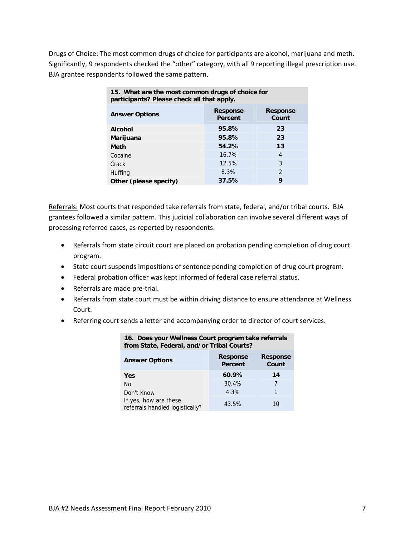Drugs of Choice: The most common drugs of choice for participants are alcohol, marijuana and meth. Significantly, 9 respondents checked the "other" category, with all 9 reporting illegal prescription use. BJA grantee respondents followed the same pattern.

| 15. What are the most common drugs of choice for<br>participants? Please check all that apply. |                                   |                          |  |  |  |
|------------------------------------------------------------------------------------------------|-----------------------------------|--------------------------|--|--|--|
| <b>Answer Options</b>                                                                          | <b>Response</b><br><b>Percent</b> | <b>Response</b><br>Count |  |  |  |
| <b>Alcohol</b>                                                                                 | 95.8%                             | 23                       |  |  |  |
| 95.8%<br>23<br>Marijuana                                                                       |                                   |                          |  |  |  |
| <b>Meth</b>                                                                                    | 54.2%                             | 13                       |  |  |  |
| Cocaine                                                                                        | 16.7%                             | 4                        |  |  |  |
| Crack                                                                                          | 12.5%                             | 3                        |  |  |  |
| Huffing                                                                                        | 8.3%                              | $\mathcal{P}$            |  |  |  |
| 37.5%<br>9<br>Other (please specify)                                                           |                                   |                          |  |  |  |

Referrals: Most courts that responded take referrals from state, federal, and/or tribal courts. BJA grantees followed a similar pattern. This judicial collaboration can involve several different ways of processing referred cases, as reported by respondents:

- Referrals from state circuit court are placed on probation pending completion of drug court program.
- State court suspends impositions of sentence pending completion of drug court program.
- Federal probation officer was kept informed of federal case referral status.
- Referrals are made pre-trial.
- Referrals from state court must be within driving distance to ensure attendance at Wellness Court.
- Referring court sends a letter and accompanying order to director of court services.

| <u>Holli State, Federal, and/ OF Hilbar Courts:</u>      |                            |                          |
|----------------------------------------------------------|----------------------------|--------------------------|
| <b>Answer Options</b>                                    | <b>Response</b><br>Percent | <b>Response</b><br>Count |
| Yes                                                      | 60.9%                      | 14                       |
| N <sub>O</sub>                                           | 30.4%                      | 7                        |
| Don't Know                                               | 4.3%                       | 1                        |
| If yes, how are these<br>referrals handled logistically? | 43.5%                      | 10                       |

### **16. Does your Wellness Court program take referrals from State, Federal, and/or Tribal Courts?**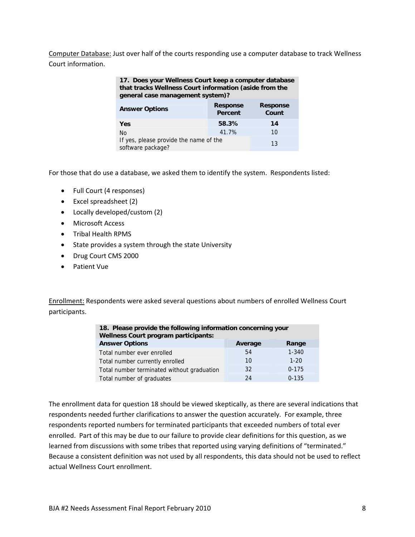Computer Database: Just over half of the courts responding use a computer database to track Wellness Court information.

| 17. Does your Wellness Court keep a computer database  |
|--------------------------------------------------------|
| that tracks Wellness Court information (aside from the |
| general case management system)?                       |

| <b>Answer Options</b>                                       | <b>Response</b><br>Percent | <b>Response</b><br>Count |
|-------------------------------------------------------------|----------------------------|--------------------------|
| <b>Yes</b>                                                  | 58.3%                      | 14                       |
| No.                                                         | 41.7%                      | 10                       |
| If yes, please provide the name of the<br>software package? |                            | 13                       |

For those that do use a database, we asked them to identify the system. Respondents listed:

- Full Court (4 responses)
- Excel spreadsheet (2)
- Locally developed/custom (2)
- Microsoft Access
- Tribal Health RPMS
- State provides a system through the state University
- Drug Court CMS 2000
- Patient Vue

Enrollment: Respondents were asked several questions about numbers of enrolled Wellness Court participants.

| 18. Please provide the following information concerning your<br><b>Wellness Court program participants:</b> |    |          |  |  |  |
|-------------------------------------------------------------------------------------------------------------|----|----------|--|--|--|
| <b>Answer Options</b><br>Average<br>Range                                                                   |    |          |  |  |  |
| $1 - 340$<br>54<br>Total number ever enrolled                                                               |    |          |  |  |  |
| Total number currently enrolled                                                                             | 10 | $1 - 20$ |  |  |  |
| $0 - 175$<br>32<br>Total number terminated without graduation                                               |    |          |  |  |  |
| $0 - 135$<br>24<br>Total number of graduates                                                                |    |          |  |  |  |

The enrollment data for question 18 should be viewed skeptically, as there are several indications that respondents needed further clarifications to answer the question accurately. For example, three respondents reported numbers for terminated participants that exceeded numbers of total ever enrolled. Part of this may be due to our failure to provide clear definitions for this question, as we learned from discussions with some tribes that reported using varying definitions of "terminated." Because a consistent definition was not used by all respondents, this data should not be used to reflect actual Wellness Court enrollment.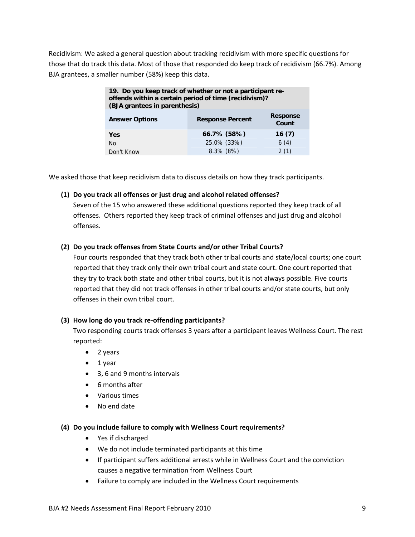Recidivism: We asked a general question about tracking recidivism with more specific questions for those that do track this data. Most of those that responded do keep track of recidivism (66.7%). Among BJA grantees, a smaller number (58%) keep this data.

| 19. Do you keep track of whether or not a participant re-<br>offends within a certain period of time (recidivism)?<br>(BJA grantees in parenthesis) |                      |      |  |  |  |
|-----------------------------------------------------------------------------------------------------------------------------------------------------|----------------------|------|--|--|--|
| <b>Response</b><br><b>Answer Options</b><br><b>Response Percent</b><br>Count                                                                        |                      |      |  |  |  |
| Yes                                                                                                                                                 | 66.7% (58%)<br>16(7) |      |  |  |  |
| No                                                                                                                                                  | 25.0% (33%)          | 6(4) |  |  |  |
| 8.3% (8%)<br>2(1)<br>Don't Know                                                                                                                     |                      |      |  |  |  |

We asked those that keep recidivism data to discuss details on how they track participants.

### **(1) Do you track all offenses or just drug and alcohol related offenses?**

Seven of the 15 who answered these additional questions reported they keep track of all offenses. Others reported they keep track of criminal offenses and just drug and alcohol offenses.

### **(2) Do you track offenses from State Courts and/or other Tribal Courts?**

Four courts responded that they track both other tribal courts and state/local courts; one court reported that they track only their own tribal court and state court. One court reported that they try to track both state and other tribal courts, but it is not always possible. Five courts reported that they did not track offenses in other tribal courts and/or state courts, but only offenses in their own tribal court.

### **(3) How long do you track re‐offending participants?**

Two responding courts track offenses 3 years after a participant leaves Wellness Court. The rest reported:

- 2 years
- $\bullet$  1 year
- 3, 6 and 9 months intervals
- 6 months after
- Various times
- No end date

### **(4) Do you include failure to comply with Wellness Court requirements?**

- Yes if discharged
- We do not include terminated participants at this time
- If participant suffers additional arrests while in Wellness Court and the conviction causes a negative termination from Wellness Court
- Failure to comply are included in the Wellness Court requirements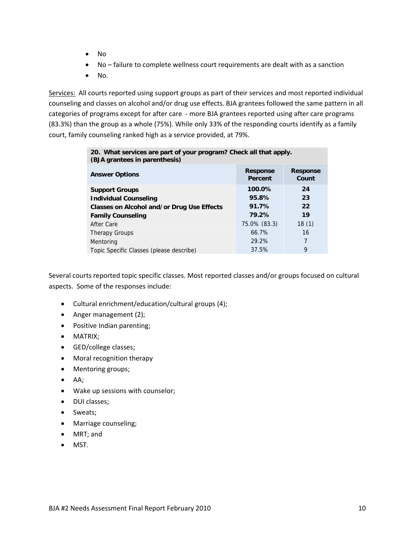- No
- No failure to complete wellness court requirements are dealt with as a sanction
- $\bullet$  No.

Services: All courts reported using support groups as part of their services and most reported individual counseling and classes on alcohol and/or drug use effects. BJA grantees followed the same pattern in all categories of programs except for after care - more BJA grantees reported using after care programs (83.3%) than the group as a whole (75%). While only 33% of the responding courts identify as a family court, family counseling ranked high as a service provided, at 79%.

| 20. What services are part of your program? Check all that apply.<br>(BJA grantees in parenthesis) |                            |                          |  |  |  |
|----------------------------------------------------------------------------------------------------|----------------------------|--------------------------|--|--|--|
| <b>Answer Options</b>                                                                              | <b>Response</b><br>Percent | <b>Response</b><br>Count |  |  |  |
| 100.0%<br>24<br><b>Support Groups</b>                                                              |                            |                          |  |  |  |
| 95.8%<br>23<br><b>Individual Counseling</b>                                                        |                            |                          |  |  |  |
| 91.7%<br>22<br><b>Classes on Alcohol and/or Drug Use Effects</b>                                   |                            |                          |  |  |  |
| 79.2%<br>19<br><b>Family Counseling</b>                                                            |                            |                          |  |  |  |
| 75.0% (83.3)<br>18(1)<br>After Care                                                                |                            |                          |  |  |  |
| <b>Therapy Groups</b>                                                                              | 66.7%                      | 16                       |  |  |  |
| Mentoring                                                                                          | 29.2%                      | 7                        |  |  |  |
| Topic Specific Classes (please describe)                                                           | 37.5%                      | 9                        |  |  |  |

Several courts reported topic specific classes. Most reported classes and/or groups focused on cultural aspects. Some of the responses include:

- Cultural enrichment/education/cultural groups (4);
- Anger management (2);
- Positive Indian parenting;
- **MATRIX**;
- GED/college classes;
- Moral recognition therapy
- Mentoring groups;
- $A$ ;
- Wake up sessions with counselor;
- DUI classes;
- Sweats;
- Marriage counseling;
- MRT; and
- MST.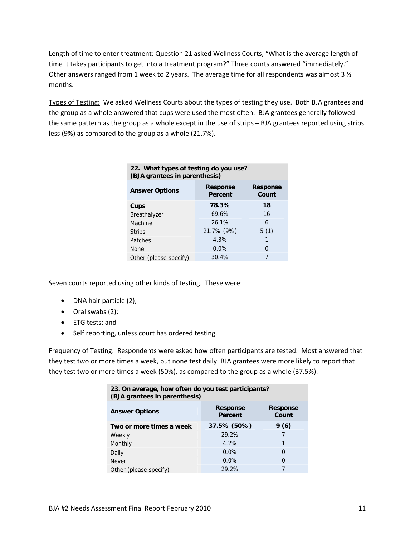Length of time to enter treatment: Question 21 asked Wellness Courts, "What is the average length of time it takes participants to get into a treatment program?" Three courts answered "immediately." Other answers ranged from 1 week to 2 years. The average time for all respondents was almost 3  $\frac{1}{2}$ months.

Types of Testing: We asked Wellness Courts about the types of testing they use. Both BJA grantees and the group as a whole answered that cups were used the most often. BJA grantees generally followed the same pattern as the group as a whole except in the use of strips – BJA grantees reported using strips less (9%) as compared to the group as a whole (21.7%).

| 22. What types of testing do you use?<br>(BJA grantees in parenthesis) |                            |                          |  |  |
|------------------------------------------------------------------------|----------------------------|--------------------------|--|--|
| <b>Answer Options</b>                                                  | <b>Response</b><br>Percent | <b>Response</b><br>Count |  |  |
| Cups                                                                   | 78.3%                      | 18                       |  |  |
| Breathalyzer                                                           | 69.6%                      | 16                       |  |  |
| Machine                                                                | 26.1%                      | 6                        |  |  |
| <b>Strips</b>                                                          | 21.7% (9%)                 | 5(1)                     |  |  |
| Patches                                                                | 4.3%                       | 1                        |  |  |
| <b>None</b>                                                            | 0.0%                       | 0                        |  |  |
| Other (please specify)                                                 | 30.4%                      |                          |  |  |

Seven courts reported using other kinds of testing. These were:

- DNA hair particle (2);
- Oral swabs (2);
- ETG tests; and
- Self reporting, unless court has ordered testing.

Frequency of Testing: Respondents were asked how often participants are tested. Most answered that they test two or more times a week, but none test daily. BJA grantees were more likely to report that they test two or more times a week (50%), as compared to the group as a whole (37.5%).

| 23. On average, how often do you test participants?<br>(BJA grantees in parenthesis) |         |   |  |  |  |
|--------------------------------------------------------------------------------------|---------|---|--|--|--|
| <b>Response</b><br><b>Response</b><br><b>Answer Options</b><br>Count<br>Percent      |         |   |  |  |  |
| 37.5% (50%)<br>9(6)<br>Two or more times a week                                      |         |   |  |  |  |
| Weekly                                                                               | 29.2%   |   |  |  |  |
| Monthly                                                                              | 4.2%    | 1 |  |  |  |
| Daily                                                                                | $0.0\%$ | 0 |  |  |  |
| Never                                                                                | $0.0\%$ | 0 |  |  |  |
| Other (please specify)                                                               | 29.2%   |   |  |  |  |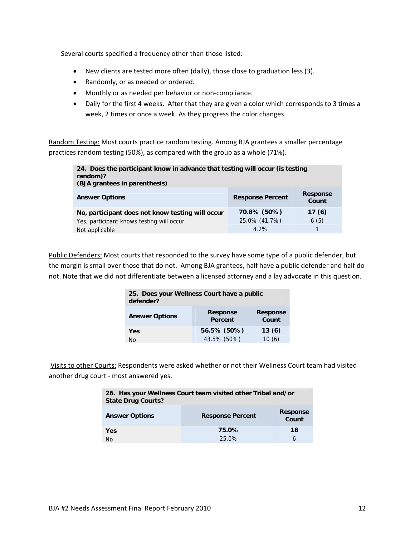Several courts specified a frequency other than those listed:

- New clients are tested more often (daily), those close to graduation less (3).
- Randomly, or as needed or ordered.
- Monthly or as needed per behavior or non-compliance.
- Daily for the first 4 weeks. After that they are given a color which corresponds to 3 times a week, 2 times or once a week. As they progress the color changes.

Random Testing: Most courts practice random testing. Among BJA grantees a smaller percentage practices random testing (50%), as compared with the group as a whole (71%).

| 24. Does the participant know in advance that testing will occur (is testing<br>random)?<br>(BJA grantees in parenthesis) |  |  |  |  |  |
|---------------------------------------------------------------------------------------------------------------------------|--|--|--|--|--|
| <b>Response</b><br><b>Response Percent</b><br><b>Answer Options</b><br>Count                                              |  |  |  |  |  |
| 70.8% (50%)<br>17(6)<br>No, participant does not know testing will occur                                                  |  |  |  |  |  |
| 25.0% (41.7%)<br>6(5)<br>Yes, participant knows testing will occur                                                        |  |  |  |  |  |
| 4.2%<br>Not applicable                                                                                                    |  |  |  |  |  |

Public Defenders: Most courts that responded to the survey have some type of a public defender, but the margin is small over those that do not. Among BJA grantees, half have a public defender and half do not. Note that we did not differentiate between a licensed attorney and a lay advocate in this question.

| 25. Does your Wellness Court have a public<br>defender? |                                                               |       |  |  |  |
|---------------------------------------------------------|---------------------------------------------------------------|-------|--|--|--|
| <b>Answer Options</b>                                   | <b>Response</b><br><b>Response</b><br>Count<br><b>Percent</b> |       |  |  |  |
| Yes                                                     | 56.5% (50%)<br>13(6)                                          |       |  |  |  |
| N٥                                                      | 43.5% (50%)                                                   | 10(6) |  |  |  |

Visits to other Courts: Respondents were asked whether or not their Wellness Court team had visited another drug court ‐ most answered yes.

| 26. Has your Wellness Court team visited other Tribal and/or<br><b>State Drug Courts?</b> |       |    |  |
|-------------------------------------------------------------------------------------------|-------|----|--|
| <b>Response</b><br><b>Answer Options</b><br><b>Response Percent</b><br>Count              |       |    |  |
| Yes                                                                                       | 75.0% | 18 |  |
| No                                                                                        | 25.0% | 6  |  |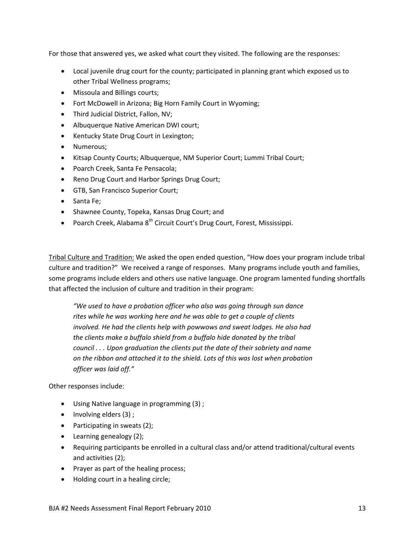For those that answered yes, we asked what court they visited. The following are the responses:

- Local juvenile drug court for the county; participated in planning grant which exposed us to other Tribal Wellness programs;
- Missoula and Billings courts;
- Fort McDowell in Arizona; Big Horn Family Court in Wyoming;
- Third Judicial District, Fallon, NV;
- Albuquerque Native American DWI court;
- Kentucky State Drug Court in Lexington;
- Numerous:
- Kitsap County Courts; Albuquerque, NM Superior Court; Lummi Tribal Court;
- Poarch Creek, Santa Fe Pensacola;
- Reno Drug Court and Harbor Springs Drug Court;
- GTB, San Francisco Superior Court;
- Santa Fe;
- Shawnee County, Topeka, Kansas Drug Court; and
- Poarch Creek, Alabama 8<sup>th</sup> Circuit Court's Drug Court, Forest, Mississippi.

Tribal Culture and Tradition: We asked the open ended question, "How does your program include tribal culture and tradition?" We received a range of responses. Many programs include youth and families, some programs include elders and others use native language. One program lamented funding shortfalls that affected the inclusion of culture and tradition in their program:

*"We used to have a probation officer who also was going through sun dance rites while he was working here and he was able to get a couple of clients involved. He had the clients help with powwows and sweat lodges. He also had the clients make a buffalo shield from a buffalo hide donated by the tribal council . . . Upon graduation the clients put the date of their sobriety and name on the ribbon and attached it to the shield. Lots of this was lost when probation officer was laid off."* 

Other responses include:

- Using Native language in programming (3) ;
- $\bullet$  Involving elders (3);
- Participating in sweats (2);
- Learning genealogy (2);
- Requiring participants be enrolled in a cultural class and/or attend traditional/cultural events and activities (2);
- Prayer as part of the healing process;
- Holding court in a healing circle;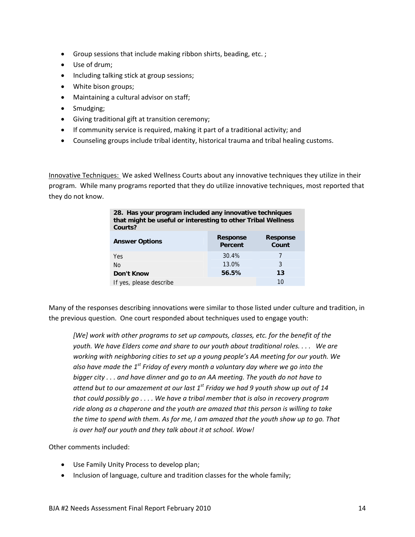- Group sessions that include making ribbon shirts, beading, etc. ;
- Use of drum;
- Including talking stick at group sessions;
- White bison groups;
- Maintaining a cultural advisor on staff;
- Smudging;
- Giving traditional gift at transition ceremony;
- If community service is required, making it part of a traditional activity; and
- Counseling groups include tribal identity, historical trauma and tribal healing customs.

Innovative Techniques: We asked Wellness Courts about any innovative techniques they utilize in their program. While many programs reported that they do utilize innovative techniques, most reported that they do not know.

| 28. Has your program included any innovative techniques<br>that might be useful or interesting to other Tribal Wellness<br>Courts? |       |  |  |  |  |  |
|------------------------------------------------------------------------------------------------------------------------------------|-------|--|--|--|--|--|
| <b>Response</b><br><b>Response</b><br><b>Answer Options</b><br>Percent<br>Count                                                    |       |  |  |  |  |  |
| Yes                                                                                                                                | 30.4% |  |  |  |  |  |
| 3<br>13.0%<br><b>No</b>                                                                                                            |       |  |  |  |  |  |
| 56.5%<br>13<br>Don't Know                                                                                                          |       |  |  |  |  |  |
| 10<br>If yes, please describe                                                                                                      |       |  |  |  |  |  |

Many of the responses describing innovations were similar to those listed under culture and tradition, in the previous question. One court responded about techniques used to engage youth:

*[We] work with other programs to set up campouts, classes, etc. for the benefit of the youth. We have Elders come and share to our youth about traditional roles. . . . We are working with neighboring cities to set up a young people's AA meeting for our youth. We also have made the 1st Friday of every month a voluntary day where we go into the bigger city . . . and have dinner and go to an AA meeting. The youth do not have to attend but to our amazement at our last 1st Friday we had 9 youth show up out of 14 that could possibly go . . . . We have a tribal member that is also in recovery program ride along as a chaperone and the youth are amazed that this person is willing to take* the time to spend with them. As for me, I am amazed that the youth show up to go. That *is over half our youth and they talk about it at school. Wow!*

Other comments included:

- Use Family Unity Process to develop plan;
- Inclusion of language, culture and tradition classes for the whole family;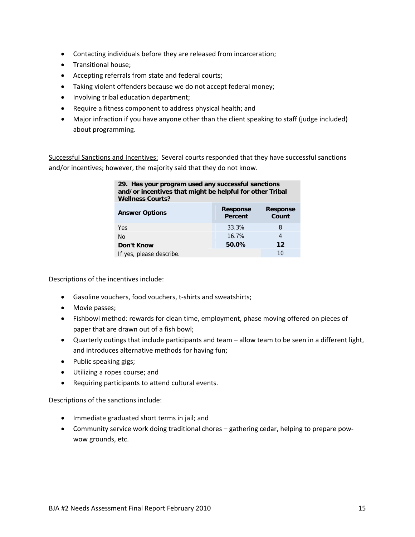- Contacting individuals before they are released from incarceration;
- Transitional house;
- Accepting referrals from state and federal courts;
- Taking violent offenders because we do not accept federal money;
- Involving tribal education department;
- Require a fitness component to address physical health; and
- Major infraction if you have anyone other than the client speaking to staff (judge included) about programming.

Successful Sanctions and Incentives: Several courts responded that they have successful sanctions and/or incentives; however, the majority said that they do not know.

| 29. Has your program used any successful sanctions<br>and/or incentives that might be helpful for other Tribal<br><b>Wellness Courts?</b> |       |   |  |  |  |  |
|-------------------------------------------------------------------------------------------------------------------------------------------|-------|---|--|--|--|--|
| <b>Response</b><br><b>Response</b><br><b>Answer Options</b><br>Count<br><b>Percent</b>                                                    |       |   |  |  |  |  |
| Yes                                                                                                                                       | 33.3% | 8 |  |  |  |  |
| 16.7%<br>4<br>N <sub>0</sub>                                                                                                              |       |   |  |  |  |  |
| 50.0%<br>$12 \,$<br>Don't Know                                                                                                            |       |   |  |  |  |  |
| 10<br>If yes, please describe.                                                                                                            |       |   |  |  |  |  |

Descriptions of the incentives include:

- Gasoline vouchers, food vouchers, t-shirts and sweatshirts;
- Movie passes;
- Fishbowl method: rewards for clean time, employment, phase moving offered on pieces of paper that are drawn out of a fish bowl;
- Quarterly outings that include participants and team allow team to be seen in a different light, and introduces alternative methods for having fun;
- Public speaking gigs;
- Utilizing a ropes course; and
- Requiring participants to attend cultural events.

Descriptions of the sanctions include:

- Immediate graduated short terms in jail; and
- Community service work doing traditional chores gathering cedar, helping to prepare pow‐ wow grounds, etc.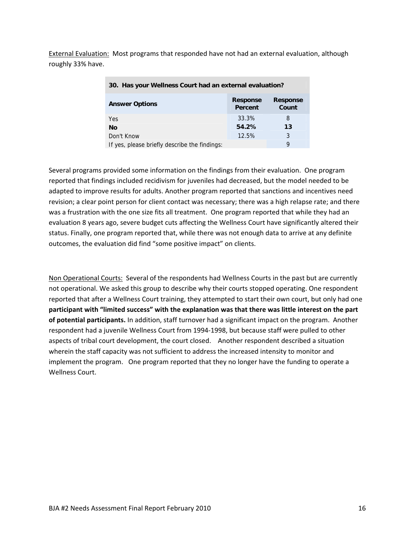External Evaluation: Most programs that responded have not had an external evaluation, although roughly 33% have.

| 30. Has your Wellness Court had an external evaluation?                         |       |    |  |  |  |
|---------------------------------------------------------------------------------|-------|----|--|--|--|
| <b>Response</b><br><b>Response</b><br><b>Answer Options</b><br>Count<br>Percent |       |    |  |  |  |
| <b>Yes</b>                                                                      | 33.3% | 8  |  |  |  |
| No                                                                              | 54.2% | 13 |  |  |  |
| 12.5%<br>Don't Know                                                             |       | 3  |  |  |  |
| If yes, please briefly describe the findings:                                   | 9     |    |  |  |  |

Several programs provided some information on the findings from their evaluation. One program reported that findings included recidivism for juveniles had decreased, but the model needed to be adapted to improve results for adults. Another program reported that sanctions and incentives need revision; a clear point person for client contact was necessary; there was a high relapse rate; and there was a frustration with the one size fits all treatment. One program reported that while they had an evaluation 8 years ago, severe budget cuts affecting the Wellness Court have significantly altered their status. Finally, one program reported that, while there was not enough data to arrive at any definite outcomes, the evaluation did find "some positive impact" on clients.

Non Operational Courts: Several of the respondents had Wellness Courts in the past but are currently not operational. We asked this group to describe why their courts stopped operating. One respondent reported that after a Wellness Court training, they attempted to start their own court, but only had one **participant with "limited success" with the explanation was that there was little interest on the part of potential participants.** In addition, staff turnover had a significant impact on the program. Another respondent had a juvenile Wellness Court from 1994‐1998, but because staff were pulled to other aspects of tribal court development, the court closed. Another respondent described a situation wherein the staff capacity was not sufficient to address the increased intensity to monitor and implement the program. One program reported that they no longer have the funding to operate a Wellness Court.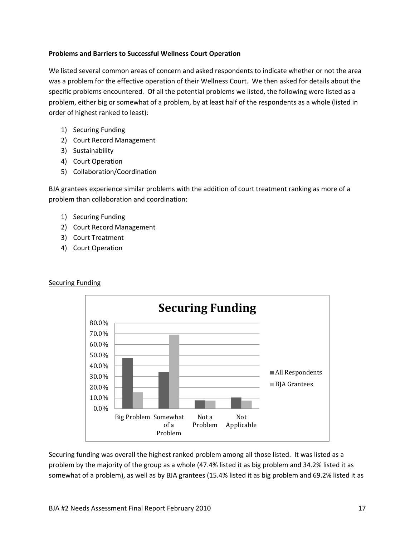### **Problems and Barriers to Successful Wellness Court Operation**

We listed several common areas of concern and asked respondents to indicate whether or not the area was a problem for the effective operation of their Wellness Court. We then asked for details about the specific problems encountered. Of all the potential problems we listed, the following were listed as a problem, either big or somewhat of a problem, by at least half of the respondents as a whole (listed in order of highest ranked to least):

- 1) Securing Funding
- 2) Court Record Management
- 3) Sustainability
- 4) Court Operation
- 5) Collaboration/Coordination

BJA grantees experience similar problems with the addition of court treatment ranking as more of a problem than collaboration and coordination:

- 1) Securing Funding
- 2) Court Record Management
- 3) Court Treatment
- 4) Court Operation

**Securing Funding** 



### Securing funding was overall the highest ranked problem among all those listed. It was listed as a problem by the majority of the group as a whole (47.4% listed it as big problem and 34.2% listed it as somewhat of a problem), as well as by BJA grantees (15.4% listed it as big problem and 69.2% listed it as

### BJA #2 Needs Assessment Final Report February 2010 17 17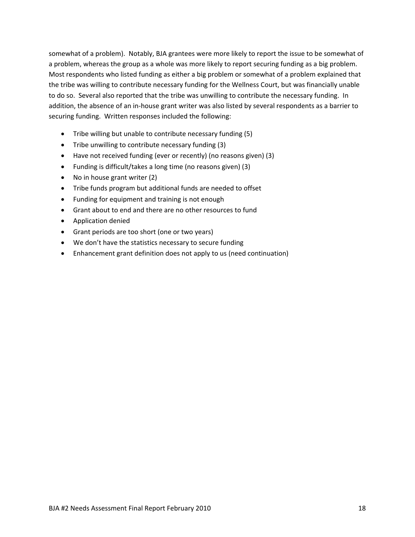somewhat of a problem). Notably, BJA grantees were more likely to report the issue to be somewhat of a problem, whereas the group as a whole was more likely to report securing funding as a big problem. Most respondents who listed funding as either a big problem or somewhat of a problem explained that the tribe was willing to contribute necessary funding for the Wellness Court, but was financially unable to do so. Several also reported that the tribe was unwilling to contribute the necessary funding. In addition, the absence of an in‐house grant writer was also listed by several respondents as a barrier to securing funding. Written responses included the following:

- Tribe willing but unable to contribute necessary funding (5)
- Tribe unwilling to contribute necessary funding (3)
- Have not received funding (ever or recently) (no reasons given) (3)
- Funding is difficult/takes a long time (no reasons given) (3)
- No in house grant writer (2)
- Tribe funds program but additional funds are needed to offset
- Funding for equipment and training is not enough
- Grant about to end and there are no other resources to fund
- Application denied
- Grant periods are too short (one or two years)
- We don't have the statistics necessary to secure funding
- Enhancement grant definition does not apply to us (need continuation)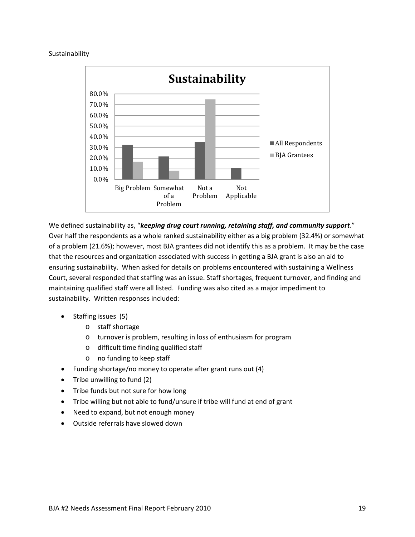### Sustainability



We defined sustainability as, "*keeping drug court running, retaining staff, and community support*." Over half the respondents as a whole ranked sustainability either as a big problem (32.4%) or somewhat of a problem (21.6%); however, most BJA grantees did not identify this as a problem. It may be the case that the resources and organization associated with success in getting a BJA grant is also an aid to ensuring sustainability. When asked for details on problems encountered with sustaining a Wellness Court, several responded that staffing was an issue. Staff shortages, frequent turnover, and finding and maintaining qualified staff were all listed. Funding was also cited as a major impediment to sustainability. Written responses included:

- Staffing issues (5)
	- o staff shortage
	- o turnover is problem, resulting in loss of enthusiasm for program
	- o difficult time finding qualified staff
	- o no funding to keep staff
- Funding shortage/no money to operate after grant runs out (4)
- Tribe unwilling to fund (2)
- Tribe funds but not sure for how long
- Tribe willing but not able to fund/unsure if tribe will fund at end of grant
- Need to expand, but not enough money
- Outside referrals have slowed down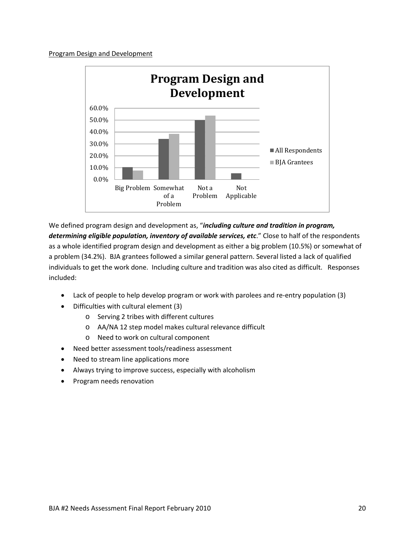### Program Design and Development



We defined program design and development as, "*including culture and tradition in program, determining eligible population, inventory of available services, etc*." Close to half of the respondents as a whole identified program design and development as either a big problem (10.5%) or somewhat of a problem (34.2%). BJA grantees followed a similar general pattern. Several listed a lack of qualified individuals to get the work done. Including culture and tradition was also cited as difficult. Responses included:

- Lack of people to help develop program or work with parolees and re-entry population (3)
- Difficulties with cultural element (3)
	- o Serving 2 tribes with different cultures
	- o AA/NA 12 step model makes cultural relevance difficult
	- o Need to work on cultural component
- Need better assessment tools/readiness assessment
- Need to stream line applications more
- Always trying to improve success, especially with alcoholism
- Program needs renovation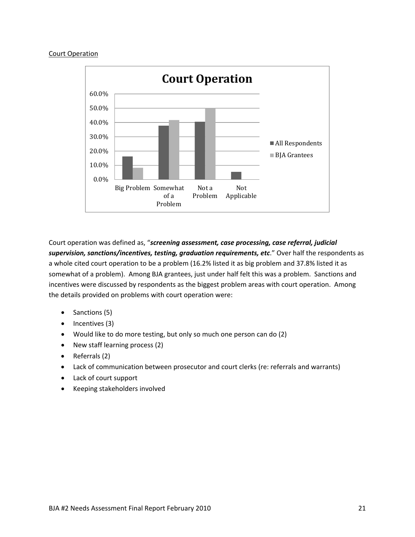### Court Operation



Court operation was defined as, "*screening assessment, case processing, case referral, judicial supervision, sanctions/incentives, testing, graduation requirements, etc*." Over half the respondents as a whole cited court operation to be a problem (16.2% listed it as big problem and 37.8% listed it as somewhat of a problem). Among BJA grantees, just under half felt this was a problem. Sanctions and incentives were discussed by respondents as the biggest problem areas with court operation. Among the details provided on problems with court operation were:

- $\bullet$  Sanctions (5)
- $\bullet$  Incentives (3)
- Would like to do more testing, but only so much one person can do (2)
- New staff learning process (2)
- Referrals (2)
- Lack of communication between prosecutor and court clerks (re: referrals and warrants)
- Lack of court support
- Keeping stakeholders involved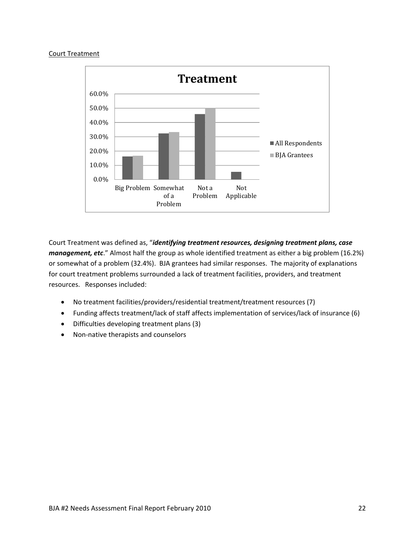### Court Treatment



Court Treatment was defined as, "*identifying treatment resources, designing treatment plans, case management, etc*." Almost half the group as whole identified treatment as either a big problem (16.2%) or somewhat of a problem (32.4%). BJA grantees had similar responses. The majority of explanations for court treatment problems surrounded a lack of treatment facilities, providers, and treatment resources. Responses included:

- No treatment facilities/providers/residential treatment/treatment resources (7)
- Funding affects treatment/lack of staff affects implementation of services/lack of insurance (6)
- Difficulties developing treatment plans (3)
- Non-native therapists and counselors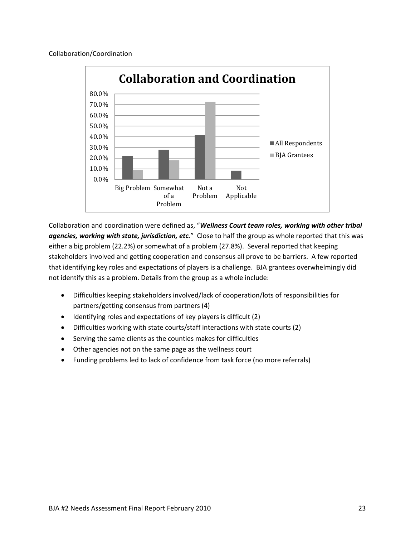

Collaboration and coordination were defined as, "*Wellness Court team roles, working with other tribal agencies, working with state, jurisdiction, etc.*" Close to half the group as whole reported that this was either a big problem (22.2%) or somewhat of a problem (27.8%). Several reported that keeping stakeholders involved and getting cooperation and consensus all prove to be barriers. A few reported that identifying key roles and expectations of players is a challenge. BJA grantees overwhelmingly did not identify this as a problem. Details from the group as a whole include:

- Difficulties keeping stakeholders involved/lack of cooperation/lots of responsibilities for partners/getting consensus from partners (4)
- Identifying roles and expectations of key players is difficult (2)
- Difficulties working with state courts/staff interactions with state courts (2)
- Serving the same clients as the counties makes for difficulties
- Other agencies not on the same page as the wellness court
- Funding problems led to lack of confidence from task force (no more referrals)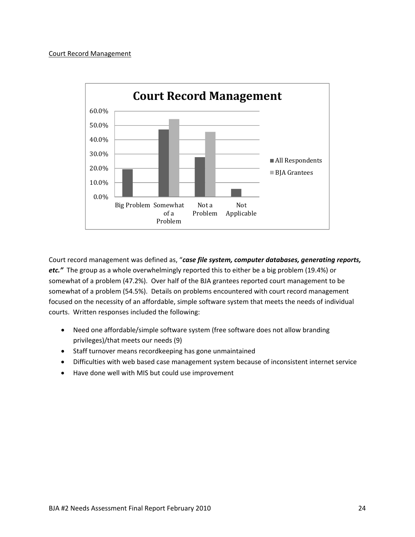### Court Record Management



Court record management was defined as, "*case file system, computer databases, generating reports, etc."* The group as a whole overwhelmingly reported this to either be a big problem (19.4%) or somewhat of a problem (47.2%). Over half of the BJA grantees reported court management to be somewhat of a problem (54.5%). Details on problems encountered with court record management focused on the necessity of an affordable, simple software system that meets the needs of individual courts. Written responses included the following:

- Need one affordable/simple software system (free software does not allow branding privileges)/that meets our needs (9)
- Staff turnover means recordkeeping has gone unmaintained
- Difficulties with web based case management system because of inconsistent internet service
- Have done well with MIS but could use improvement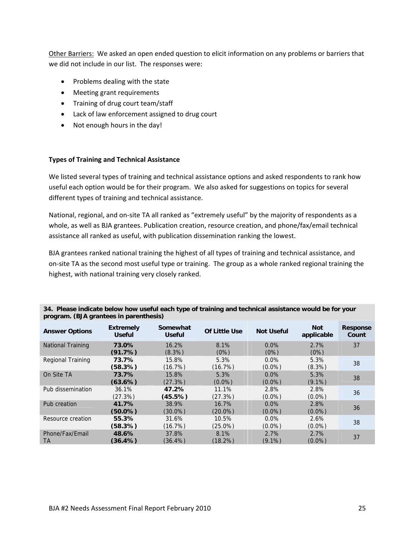Other Barriers: We asked an open ended question to elicit information on any problems or barriers that we did not include in our list. The responses were:

- Problems dealing with the state
- Meeting grant requirements
- Training of drug court team/staff
- Lack of law enforcement assigned to drug court
- Not enough hours in the day!

### **Types of Training and Technical Assistance**

We listed several types of training and technical assistance options and asked respondents to rank how useful each option would be for their program. We also asked for suggestions on topics for several different types of training and technical assistance.

National, regional, and on‐site TA all ranked as "extremely useful" by the majority of respondents as a whole, as well as BJA grantees. Publication creation, resource creation, and phone/fax/email technical assistance all ranked as useful, with publication dissemination ranking the lowest.

BJA grantees ranked national training the highest of all types of training and technical assistance, and on‐site TA as the second most useful type or training. The group as a whole ranked regional training the highest, with national training very closely ranked.

| <b>Answer Options</b>    | <b>Extremely</b><br><b>Useful</b> | Somewhat<br><b>Useful</b> | <b>Of Little Use</b> | <b>Not Useful</b> | <b>Not</b><br>applicable | <b>Response</b><br>Count |
|--------------------------|-----------------------------------|---------------------------|----------------------|-------------------|--------------------------|--------------------------|
| <b>National Training</b> | 73.0%                             | 16.2%                     | 8.1%                 | $0.0\%$           | 2.7%                     | 37                       |
|                          | (91.7%)                           | $(8.3\%)$                 | (0%)                 | (0%)              | (0%)                     |                          |
| Regional Training        | 73.7%                             | 15.8%                     | 5.3%                 | $0.0\%$           | 5.3%                     | 38                       |
|                          | (58.3%)                           | (16.7%)                   | (16.7%)              | $(0.0\%)$         | $(8.3\%)$                |                          |
| On Site TA               | 73.7%                             | 15.8%                     | 5.3%                 | $0.0\%$           | 5.3%                     | 38                       |
|                          | (63.6%)                           | (27.3%)                   | $(0.0\%)$            | $(0.0\%)$         | $(9.1\%)$                |                          |
| Pub dissemination        | 36.1%                             | 47.2%                     | 11.1%                | 2.8%              | 2.8%                     | 36                       |
|                          | (27.3%)                           | (45.5%)                   | (27.3%)              | $(0.0\%)$         | $(0.0\%)$                |                          |
| Pub creation             | 41.7%                             | 38.9%                     | 16.7%                | $0.0\%$           | 2.8%                     | 36                       |
|                          | $(50.0\%)$                        | $(30.0\%)$                | $(20.0\%)$           | $(0.0\%)$         | $(0.0\%)$                |                          |
| Resource creation        | 55.3%                             | 31.6%                     | 10.5%                | $0.0\%$           | 2.6%                     | 38                       |
|                          | (58.3%)                           | (16.7%)                   | $(25.0\%)$           | $(0.0\%)$         | $(0.0\%)$                |                          |
| Phone/Fax/Email          | 48.6%                             | 37.8%                     | 8.1%                 | 2.7%              | 2.7%                     | 37                       |
| ТA                       | $(36.4\%)$                        | $(36.4\%)$                | $(18.2\%)$           | $(9.1\%)$         | $(0.0\%)$                |                          |

**34. Please indicate below how useful each type of training and technical assistance would be for your program. (BJA grantees in parenthesis)**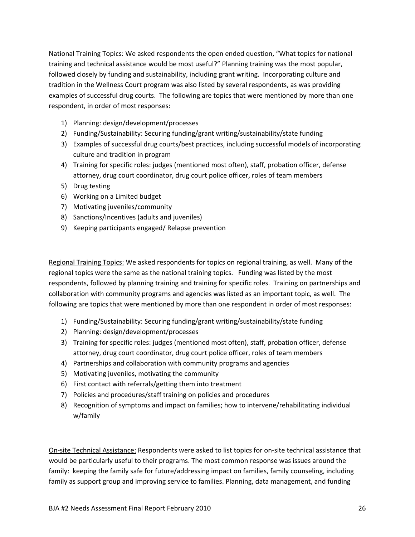National Training Topics: We asked respondents the open ended question, "What topics for national training and technical assistance would be most useful?" Planning training was the most popular, followed closely by funding and sustainability, including grant writing. Incorporating culture and tradition in the Wellness Court program was also listed by several respondents, as was providing examples of successful drug courts. The following are topics that were mentioned by more than one respondent, in order of most responses:

- 1) Planning: design/development/processes
- 2) Funding/Sustainability: Securing funding/grant writing/sustainability/state funding
- 3) Examples of successful drug courts/best practices, including successful models of incorporating culture and tradition in program
- 4) Training for specific roles: judges (mentioned most often), staff, probation officer, defense attorney, drug court coordinator, drug court police officer, roles of team members
- 5) Drug testing
- 6) Working on a Limited budget
- 7) Motivating juveniles/community
- 8) Sanctions/Incentives (adults and juveniles)
- 9) Keeping participants engaged/ Relapse prevention

Regional Training Topics: We asked respondents for topics on regional training, as well. Many of the regional topics were the same as the national training topics. Funding was listed by the most respondents, followed by planning training and training for specific roles. Training on partnerships and collaboration with community programs and agencies was listed as an important topic, as well. The following are topics that were mentioned by more than one respondent in order of most responses:

- 1) Funding/Sustainability: Securing funding/grant writing/sustainability/state funding
- 2) Planning: design/development/processes
- 3) Training for specific roles: judges (mentioned most often), staff, probation officer, defense attorney, drug court coordinator, drug court police officer, roles of team members
- 4) Partnerships and collaboration with community programs and agencies
- 5) Motivating juveniles, motivating the community
- 6) First contact with referrals/getting them into treatment
- 7) Policies and procedures/staff training on policies and procedures
- 8) Recognition of symptoms and impact on families; how to intervene/rehabilitating individual w/family

On‐site Technical Assistance: Respondents were asked to list topics for on‐site technical assistance that would be particularly useful to their programs. The most common response was issues around the family: keeping the family safe for future/addressing impact on families, family counseling, including family as support group and improving service to families. Planning, data management, and funding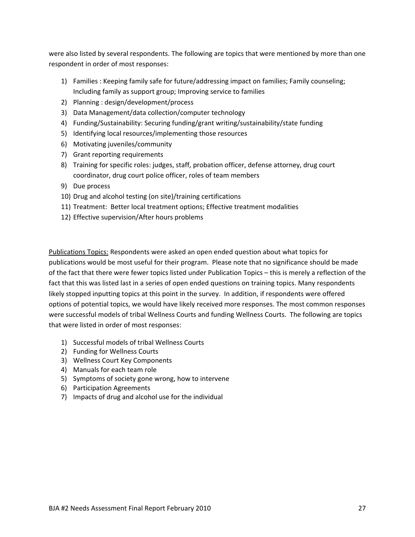were also listed by several respondents. The following are topics that were mentioned by more than one respondent in order of most responses:

- 1) Families : Keeping family safe for future/addressing impact on families; Family counseling; Including family as support group; Improving service to families
- 2) Planning : design/development/process
- 3) Data Management/data collection/computer technology
- 4) Funding/Sustainability: Securing funding/grant writing/sustainability/state funding
- 5) Identifying local resources/implementing those resources
- 6) Motivating juveniles/community
- 7) Grant reporting requirements
- 8) Training for specific roles: judges, staff, probation officer, defense attorney, drug court coordinator, drug court police officer, roles of team members
- 9) Due process
- 10) Drug and alcohol testing (on site)/training certifications
- 11) Treatment: Better local treatment options; Effective treatment modalities
- 12) Effective supervision/After hours problems

Publications Topics: Respondents were asked an open ended question about what topics for publications would be most useful for their program. Please note that no significance should be made of the fact that there were fewer topics listed under Publication Topics – this is merely a reflection of the fact that this was listed last in a series of open ended questions on training topics. Many respondents likely stopped inputting topics at this point in the survey. In addition, if respondents were offered options of potential topics, we would have likely received more responses. The most common responses were successful models of tribal Wellness Courts and funding Wellness Courts. The following are topics that were listed in order of most responses:

- 1) Successful models of tribal Wellness Courts
- 2) Funding for Wellness Courts
- 3) Wellness Court Key Components
- 4) Manuals for each team role
- 5) Symptoms of society gone wrong, how to intervene
- 6) Participation Agreements
- 7) Impacts of drug and alcohol use for the individual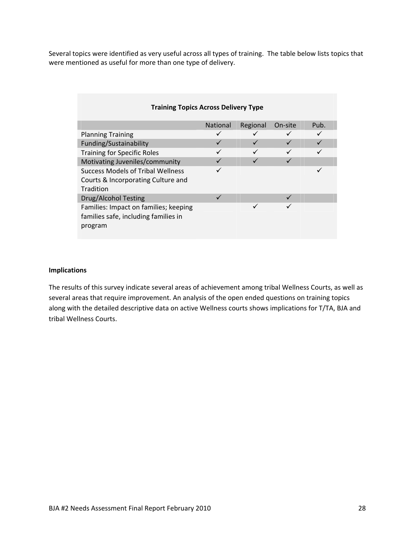Several topics were identified as very useful across all types of training. The table below lists topics that were mentioned as useful for more than one type of delivery.

| <b>Training Topics Across Delivery Type</b> |                 |          |              |      |
|---------------------------------------------|-----------------|----------|--------------|------|
|                                             | <b>National</b> | Regional | On-site      | Pub. |
| <b>Planning Training</b>                    | ✓               |          | ✓            |      |
| Funding/Sustainability                      | ✓               |          | $\checkmark$ |      |
| <b>Training for Specific Roles</b>          |                 |          |              |      |
| Motivating Juveniles/community              |                 |          |              |      |
| Success Models of Tribal Wellness           |                 |          |              |      |
| Courts & Incorporating Culture and          |                 |          |              |      |
| Tradition                                   |                 |          |              |      |
| Drug/Alcohol Testing                        |                 |          |              |      |
| Families: Impact on families; keeping       |                 | ✓        |              |      |
| families safe, including families in        |                 |          |              |      |
| program                                     |                 |          |              |      |
|                                             |                 |          |              |      |

### **Implications**

The results of this survey indicate several areas of achievement among tribal Wellness Courts, as well as several areas that require improvement. An analysis of the open ended questions on training topics along with the detailed descriptive data on active Wellness courts shows implications for T/TA, BJA and tribal Wellness Courts.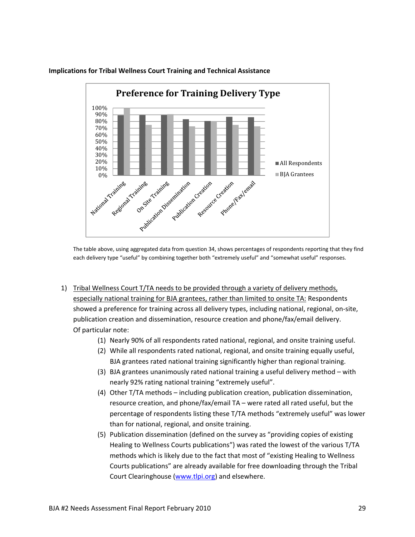

### **Implications for Tribal Wellness Court Training and Technical Assistance**

The table above, using aggregated data from question 34, shows percentages of respondents reporting that they find each delivery type "useful" by combining together both "extremely useful" and "somewhat useful" responses.

- 1) Tribal Wellness Court T/TA needs to be provided through a variety of delivery methods, especially national training for BJA grantees, rather than limited to onsite TA: Respondents showed a preference for training across all delivery types, including national, regional, on‐site, publication creation and dissemination, resource creation and phone/fax/email delivery. Of particular note:
	- (1) Nearly 90% of all respondents rated national, regional, and onsite training useful.
	- (2) While all respondents rated national, regional, and onsite training equally useful, BJA grantees rated national training significantly higher than regional training.
	- (3) BJA grantees unanimously rated national training a useful delivery method with nearly 92% rating national training "extremely useful".
	- (4) Other T/TA methods including publication creation, publication dissemination, resource creation, and phone/fax/email TA – were rated all rated useful, but the percentage of respondents listing these T/TA methods "extremely useful" was lower than for national, regional, and onsite training.
	- (5) Publication dissemination (defined on the survey as "providing copies of existing Healing to Wellness Courts publications") was rated the lowest of the various T/TA methods which is likely due to the fact that most of "existing Healing to Wellness Courts publications" are already available for free downloading through the Tribal Court Clearinghouse (www.tlpi.org) and elsewhere.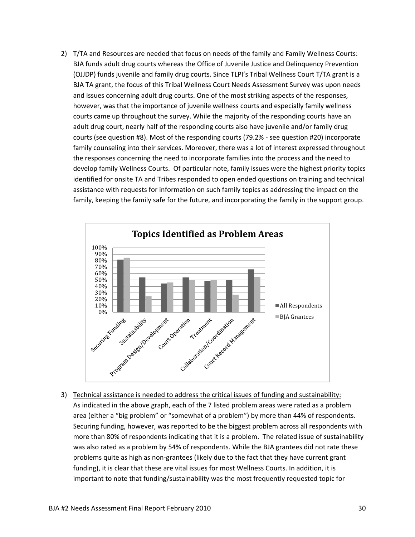2) T/TA and Resources are needed that focus on needs of the family and Family Wellness Courts: BJA funds adult drug courts whereas the Office of Juvenile Justice and Delinquency Prevention (OJJDP) funds juvenile and family drug courts. Since TLPI's Tribal Wellness Court T/TA grant is a BJA TA grant, the focus of this Tribal Wellness Court Needs Assessment Survey was upon needs and issues concerning adult drug courts. One of the most striking aspects of the responses, however, was that the importance of juvenile wellness courts and especially family wellness courts came up throughout the survey. While the majority of the responding courts have an adult drug court, nearly half of the responding courts also have juvenile and/or family drug courts (see question #8). Most of the responding courts (79.2% ‐ see question #20) incorporate family counseling into their services. Moreover, there was a lot of interest expressed throughout the responses concerning the need to incorporate families into the process and the need to develop family Wellness Courts. Of particular note, family issues were the highest priority topics identified for onsite TA and Tribes responded to open ended questions on training and technical assistance with requests for information on such family topics as addressing the impact on the family, keeping the family safe for the future, and incorporating the family in the support group.



3) Technical assistance is needed to address the critical issues of funding and sustainability: As indicated in the above graph, each of the 7 listed problem areas were rated as a problem area (either a "big problem" or "somewhat of a problem") by more than 44% of respondents. Securing funding, however, was reported to be the biggest problem across all respondents with more than 80% of respondents indicating that it is a problem. The related issue of sustainability was also rated as a problem by 54% of respondents. While the BJA grantees did not rate these problems quite as high as non‐grantees (likely due to the fact that they have current grant funding), it is clear that these are vital issues for most Wellness Courts. In addition, it is important to note that funding/sustainability was the most frequently requested topic for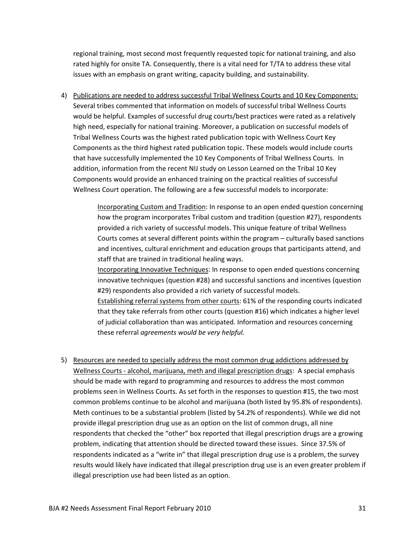regional training, most second most frequently requested topic for national training, and also rated highly for onsite TA. Consequently, there is a vital need for T/TA to address these vital issues with an emphasis on grant writing, capacity building, and sustainability.

4) Publications are needed to address successful Tribal Wellness Courts and 10 Key Components: Several tribes commented that information on models of successful tribal Wellness Courts would be helpful. Examples of successful drug courts/best practices were rated as a relatively high need, especially for national training. Moreover, a publication on successful models of Tribal Wellness Courts was the highest rated publication topic with Wellness Court Key Components as the third highest rated publication topic. These models would include courts that have successfully implemented the 10 Key Components of Tribal Wellness Courts. In addition, information from the recent NIJ study on Lesson Learned on the Tribal 10 Key Components would provide an enhanced training on the practical realities of successful Wellness Court operation. The following are a few successful models to incorporate:

> Incorporating Custom and Tradition: In response to an open ended question concerning how the program incorporates Tribal custom and tradition (question #27), respondents provided a rich variety of successful models. This unique feature of tribal Wellness Courts comes at several different points within the program – culturally based sanctions and incentives, cultural enrichment and education groups that participants attend, and staff that are trained in traditional healing ways.

> Incorporating Innovative Techniques: In response to open ended questions concerning innovative techniques (question #28) and successful sanctions and incentives (question #29) respondents also provided a rich variety of successful models.

> Establishing referral systems from other courts: 61% of the responding courts indicated that they take referrals from other courts (question #16) which indicates a higher level of judicial collaboration than was anticipated. Information and resources concerning these referral *agreements would be very helpful.*

5) Resources are needed to specially address the most common drug addictions addressed by Wellness Courts - alcohol, marijuana, meth and illegal prescription drugs: A special emphasis should be made with regard to programming and resources to address the most common problems seen in Wellness Courts. As set forth in the responses to question #15, the two most common problems continue to be alcohol and marijuana (both listed by 95.8% of respondents). Meth continues to be a substantial problem (listed by 54.2% of respondents). While we did not provide illegal prescription drug use as an option on the list of common drugs, all nine respondents that checked the "other" box reported that illegal prescription drugs are a growing problem, indicating that attention should be directed toward these issues. Since 37.5% of respondents indicated as a "write in" that illegal prescription drug use is a problem, the survey results would likely have indicated that illegal prescription drug use is an even greater problem if illegal prescription use had been listed as an option.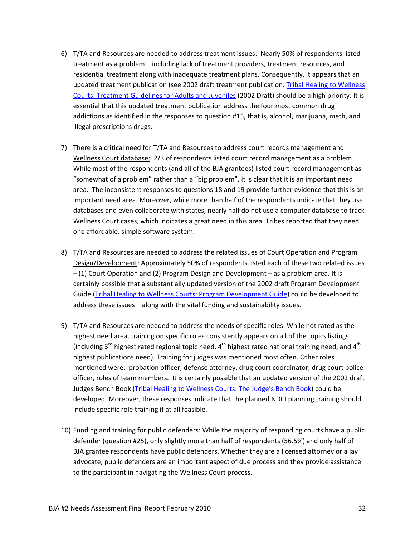- 6) T/TA and Resources are needed to address treatment issues: Nearly 50% of respondents listed treatment as a problem – including lack of treatment providers, treatment resources, and residential treatment along with inadequate treatment plans. Consequently, it appears that an updated treatment publication (see 2002 draft treatment publication: Tribal Healing to Wellness Courts: Treatment Guidelines for Adults and Juveniles (2002 Draft) should be a high priority. It is essential that this updated treatment publication address the four most common drug addictions as identified in the responses to question #15, that is, alcohol, marijuana, meth, and illegal prescriptions drugs.
- 7) There is a critical need for T/TA and Resources to address court records management and Wellness Court database: 2/3 of respondents listed court record management as a problem. While most of the respondents (and all of the BJA grantees) listed court record management as "somewhat of a problem" rather than a "big problem", it is clear that it is an important need area. The inconsistent responses to questions 18 and 19 provide further evidence that this is an important need area. Moreover, while more than half of the respondents indicate that they use databases and even collaborate with states, nearly half do not use a computer database to track Wellness Court cases, which indicates a great need in this area. Tribes reported that they need one affordable, simple software system.
- 8) T/TA and Resources are needed to address the related issues of Court Operation and Program Design/Development: Approximately 50% of respondents listed each of these two related issues – (1) Court Operation and (2) Program Design and Development – as a problem area. It is certainly possible that a substantially updated version of the 2002 draft Program Development Guide (Tribal Healing to Wellness Courts: Program Development Guide) could be developed to address these issues – along with the vital funding and sustainability issues.
- 9) T/TA and Resources are needed to address the needs of specific roles: While not rated as the highest need area, training on specific roles consistently appears on all of the topics listings (including 3<sup>rd</sup> highest rated regional topic need, 4<sup>th</sup> highest rated national training need, and 4<sup>th</sup> highest publications need). Training for judges was mentioned most often. Other roles mentioned were: probation officer, defense attorney, drug court coordinator, drug court police officer, roles of team members. It is certainly possible that an updated version of the 2002 draft Judges Bench Book (Tribal Healing to Wellness Courts: The Judge's Bench Book) could be developed. Moreover, these responses indicate that the planned NDCI planning training should include specific role training if at all feasible.
- 10) Funding and training for public defenders: While the majority of responding courts have a public defender (question #25), only slightly more than half of respondents (56.5%) and only half of BJA grantee respondents have public defenders. Whether they are a licensed attorney or a lay advocate, public defenders are an important aspect of due process and they provide assistance to the participant in navigating the Wellness Court process.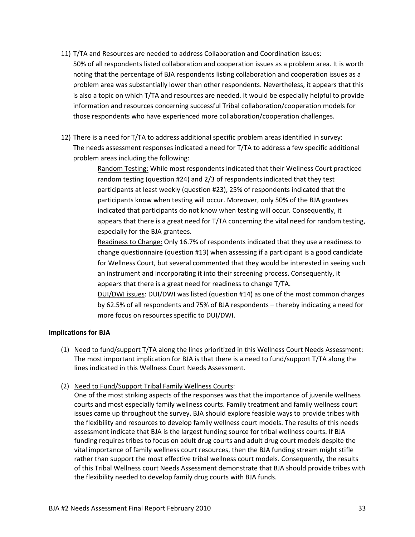11) T/TA and Resources are needed to address Collaboration and Coordination issues:

50% of all respondents listed collaboration and cooperation issues as a problem area. It is worth noting that the percentage of BJA respondents listing collaboration and cooperation issues as a problem area was substantially lower than other respondents. Nevertheless, it appears that this is also a topic on which T/TA and resources are needed. It would be especially helpful to provide information and resources concerning successful Tribal collaboration/cooperation models for those respondents who have experienced more collaboration/cooperation challenges.

12) There is a need for T/TA to address additional specific problem areas identified in survey: The needs assessment responses indicated a need for T/TA to address a few specific additional problem areas including the following:

> Random Testing: While most respondents indicated that their Wellness Court practiced random testing (question #24) and 2/3 of respondents indicated that they test participants at least weekly (question #23), 25% of respondents indicated that the participants know when testing will occur. Moreover, only 50% of the BJA grantees indicated that participants do not know when testing will occur. Consequently, it appears that there is a great need for T/TA concerning the vital need for random testing, especially for the BJA grantees.

> Readiness to Change: Only 16.7% of respondents indicated that they use a readiness to change questionnaire (question #13) when assessing if a participant is a good candidate for Wellness Court, but several commented that they would be interested in seeing such an instrument and incorporating it into their screening process. Consequently, it appears that there is a great need for readiness to change T/TA.

> DUI/DWI issues: DUI/DWI was listed (question #14) as one of the most common charges by 62.5% of all respondents and 75% of BJA respondents – thereby indicating a need for more focus on resources specific to DUI/DWI.

### **Implications for BJA**

- (1) Need to fund/support T/TA along the lines prioritized in this Wellness Court Needs Assessment: The most important implication for BJA is that there is a need to fund/support T/TA along the lines indicated in this Wellness Court Needs Assessment.
- (2) Need to Fund/Support Tribal Family Wellness Courts:

One of the most striking aspects of the responses was that the importance of juvenile wellness courts and most especially family wellness courts. Family treatment and family wellness court issues came up throughout the survey. BJA should explore feasible ways to provide tribes with the flexibility and resources to develop family wellness court models. The results of this needs assessment indicate that BJA is the largest funding source for tribal wellness courts. If BJA funding requires tribes to focus on adult drug courts and adult drug court models despite the vital importance of family wellness court resources, then the BJA funding stream might stifle rather than support the most effective tribal wellness court models. Consequently, the results of this Tribal Wellness court Needs Assessment demonstrate that BJA should provide tribes with the flexibility needed to develop family drug courts with BJA funds.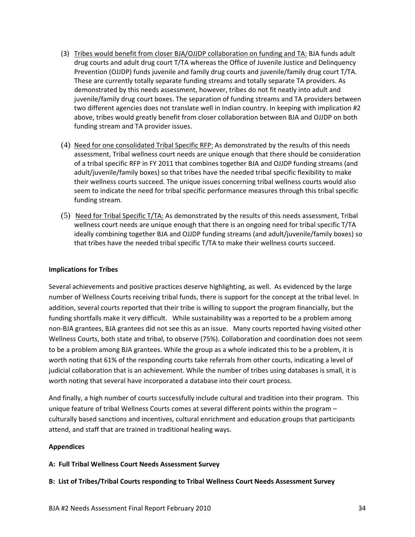- (3) Tribes would benefit from closer BJA/OJJDP collaboration on funding and TA: BJA funds adult drug courts and adult drug court T/TA whereas the Office of Juvenile Justice and Delinquency Prevention (OJJDP) funds juvenile and family drug courts and juvenile/family drug court T/TA. These are currently totally separate funding streams and totally separate TA providers. As demonstrated by this needs assessment, however, tribes do not fit neatly into adult and juvenile/family drug court boxes. The separation of funding streams and TA providers between two different agencies does not translate well in Indian country. In keeping with implication #2 above, tribes would greatly benefit from closer collaboration between BJA and OJJDP on both funding stream and TA provider issues.
- (4) Need for one consolidated Tribal Specific RFP: As demonstrated by the results of this needs assessment, Tribal wellness court needs are unique enough that there should be consideration of a tribal specific RFP in FY 2011 that combines together BJA and OJJDP funding streams (and adult/juvenile/family boxes) so that tribes have the needed tribal specific flexibility to make their wellness courts succeed. The unique issues concerning tribal wellness courts would also seem to indicate the need for tribal specific performance measures through this tribal specific funding stream.
- (5) Need for Tribal Specific T/TA: As demonstrated by the results of this needs assessment, Tribal wellness court needs are unique enough that there is an ongoing need for tribal specific T/TA ideally combining together BJA and OJJDP funding streams (and adult/juvenile/family boxes) so that tribes have the needed tribal specific T/TA to make their wellness courts succeed.

### **Implications for Tribes**

Several achievements and positive practices deserve highlighting, as well. As evidenced by the large number of Wellness Courts receiving tribal funds, there is support for the concept at the tribal level. In addition, several courts reported that their tribe is willing to support the program financially, but the funding shortfalls make it very difficult. While sustainability was a reported to be a problem among non‐BJA grantees, BJA grantees did not see this as an issue. Many courts reported having visited other Wellness Courts, both state and tribal, to observe (75%). Collaboration and coordination does not seem to be a problem among BJA grantees. While the group as a whole indicated this to be a problem, it is worth noting that 61% of the responding courts take referrals from other courts, indicating a level of judicial collaboration that is an achievement. While the number of tribes using databases is small, it is worth noting that several have incorporated a database into their court process.

And finally, a high number of courts successfully include cultural and tradition into their program. This unique feature of tribal Wellness Courts comes at several different points within the program – culturally based sanctions and incentives, cultural enrichment and education groups that participants attend, and staff that are trained in traditional healing ways.

### **Appendices**

### **A: Full Tribal Wellness Court Needs Assessment Survey**

### **B: List of Tribes/Tribal Courts responding to Tribal Wellness Court Needs Assessment Survey**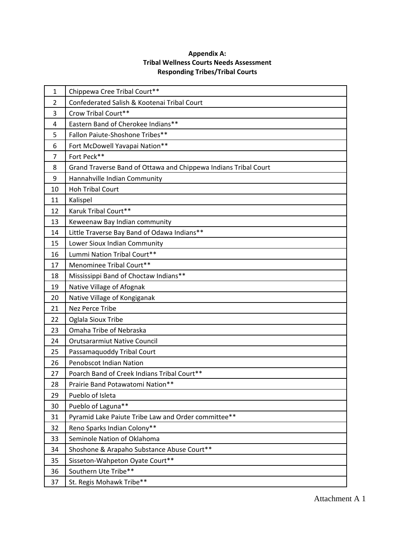### **Appendix A: Tribal Wellness Courts Needs Assessment Responding Tribes/Tribal Courts**

| $\mathbf{1}$ | Chippewa Cree Tribal Court**                                    |
|--------------|-----------------------------------------------------------------|
| 2            | Confederated Salish & Kootenai Tribal Court                     |
| 3            | Crow Tribal Court**                                             |
| 4            | Eastern Band of Cherokee Indians**                              |
| 5            | Fallon Paiute-Shoshone Tribes**                                 |
| 6            | Fort McDowell Yavapai Nation**                                  |
| 7            | Fort Peck**                                                     |
| 8            | Grand Traverse Band of Ottawa and Chippewa Indians Tribal Court |
| 9            | Hannahville Indian Community                                    |
| 10           | <b>Hoh Tribal Court</b>                                         |
| 11           | Kalispel                                                        |
| 12           | Karuk Tribal Court**                                            |
| 13           | Keweenaw Bay Indian community                                   |
| 14           | Little Traverse Bay Band of Odawa Indians**                     |
| 15           | Lower Sioux Indian Community                                    |
| 16           | Lummi Nation Tribal Court**                                     |
| 17           | Menominee Tribal Court**                                        |
| 18           | Mississippi Band of Choctaw Indians**                           |
| 19           | Native Village of Afognak                                       |
| 20           | Native Village of Kongiganak                                    |
| 21           | Nez Perce Tribe                                                 |
| 22           | Oglala Sioux Tribe                                              |
| 23           | Omaha Tribe of Nebraska                                         |
| 24           | <b>Orutsararmiut Native Council</b>                             |
| 25           | Passamaquoddy Tribal Court                                      |
| 26           | <b>Penobscot Indian Nation</b>                                  |
| 27           | Poarch Band of Creek Indians Tribal Court**                     |
| 28           | Prairie Band Potawatomi Nation**                                |
| 29           | Pueblo of Isleta                                                |
| 30           | Pueblo of Laguna**                                              |
| 31           | Pyramid Lake Paiute Tribe Law and Order committee**             |
| 32           | Reno Sparks Indian Colony**                                     |
| 33           | Seminole Nation of Oklahoma                                     |
| 34           | Shoshone & Arapaho Substance Abuse Court**                      |
| 35           | Sisseton-Wahpeton Oyate Court**                                 |
| 36           | Southern Ute Tribe**                                            |
| 37           | St. Regis Mohawk Tribe**                                        |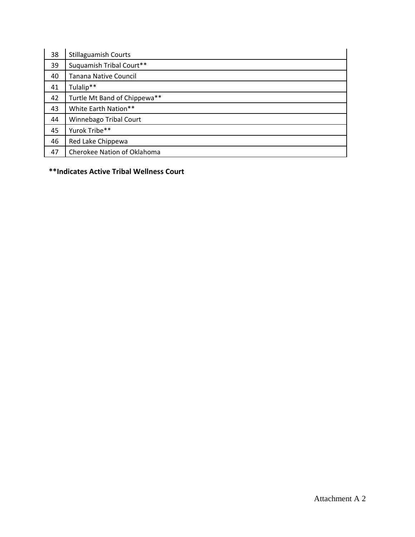| 38 | <b>Stillaguamish Courts</b>  |
|----|------------------------------|
| 39 | Suquamish Tribal Court**     |
| 40 | Tanana Native Council        |
| 41 | Tulalip**                    |
| 42 | Turtle Mt Band of Chippewa** |
| 43 | White Earth Nation**         |
| 44 | Winnebago Tribal Court       |
| 45 | Yurok Tribe**                |
| 46 | Red Lake Chippewa            |
| 47 | Cherokee Nation of Oklahoma  |

**\*\*Indicates Active Tribal Wellness Court**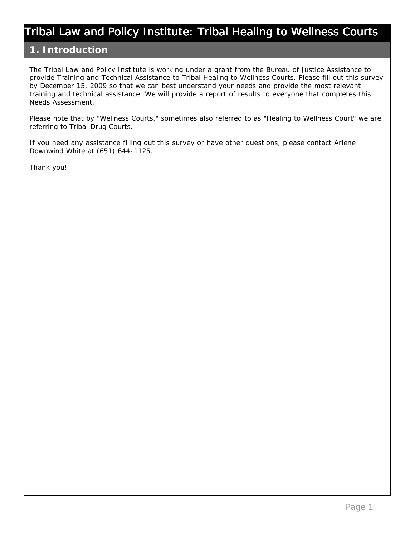## **1. Introduction**

The Tribal Law and Policy Institute is working under a grant from the Bureau of Justice Assistance to provide Training and Technical Assistance to Tribal Healing to Wellness Courts. Please fill out this survey by December 15, 2009 so that we can best understand your needs and provide the most relevant training and technical assistance. We will provide a report of results to everyone that completes this Needs Assessment.

Please note that by "Wellness Courts," sometimes also referred to as "Healing to Wellness Court" we are referring to Tribal Drug Courts.

If you need any assistance filling out this survey or have other questions, please contact Arlene Downwind White at (651) 644-1125.

Thank you!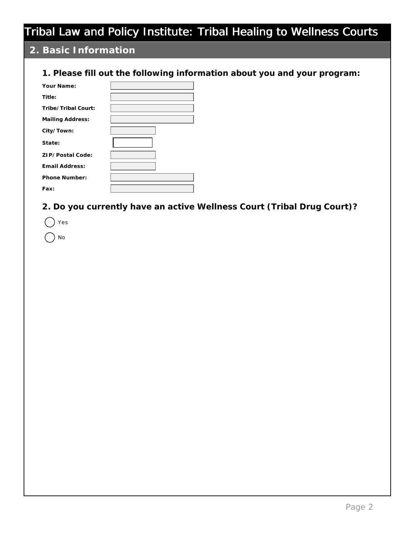## **2. Basic Information**

### **1. Please fill out the following information about you and your program:**

| Your Name:          |  |
|---------------------|--|
| Title:              |  |
| Tribe/Tribal Court: |  |
| Mailing Address:    |  |
| City/Town:          |  |
| State:              |  |
| ZIP/Postal Code:    |  |
| Email Address:      |  |
| Phone Number:       |  |
| Fax:                |  |

### **2. Do you currently have an active Wellness Court (Tribal Drug Court)?**

| Έs |
|----|
| No |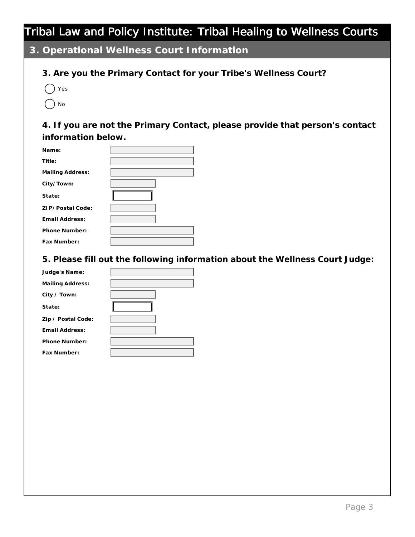**3. Operational Wellness Court Information**

## **3. Are you the Primary Contact for your Tribe's Wellness Court?**

 $($   $)$  Yes

 $\bigcap_{N \in \mathcal{N}}$ 

**4. If you are not the Primary Contact, please provide that person's contact information below.**

| Name:            |  |
|------------------|--|
| Title:           |  |
| Mailing Address: |  |
| City/Town:       |  |
| State:           |  |
| ZIP/Postal Code: |  |
| Email Address:   |  |
| Phone Number:    |  |
| Fax Number:      |  |

**5. Please fill out the following information about the Wellness Court Judge:**

| Judge's Name:      |  |
|--------------------|--|
| Mailing Address:   |  |
| City / Town:       |  |
| State:             |  |
| Zip / Postal Code: |  |
| Email Address:     |  |
| Phone Number:      |  |
| Fax Number:        |  |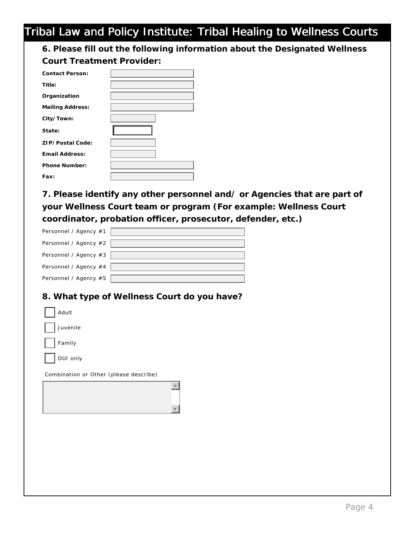**6. Please fill out the following information about the Designated Wellness Court Treatment Provider:**

| Contact Person:   |  |
|-------------------|--|
| Title:            |  |
| Organization      |  |
| Mailing Address:  |  |
| City/Town:        |  |
| State:            |  |
| ZI P/Postal Code: |  |
| Email Address:    |  |
| Phone Number:     |  |
| Fax:              |  |

**7. Please identify any other personnel and/ or Agencies that are part of**  your Wellness Court team or program (For example: Wellness Court **coordinator, probation officer, prosecutor, defender, etc.)**

| Personnel / Agency #1 |  |
|-----------------------|--|
| Personnel / Agency #2 |  |
| Personnel / Agency #3 |  |
| Personnel / Agency #4 |  |
| Personnel / Agency #5 |  |

### **8. What type of Wellness Court do you have?**

| Adult                                  |  |
|----------------------------------------|--|
| Juvenile                               |  |
| Family                                 |  |
| DUI only                               |  |
| Combination or Other (please describe) |  |
|                                        |  |
|                                        |  |
|                                        |  |
|                                        |  |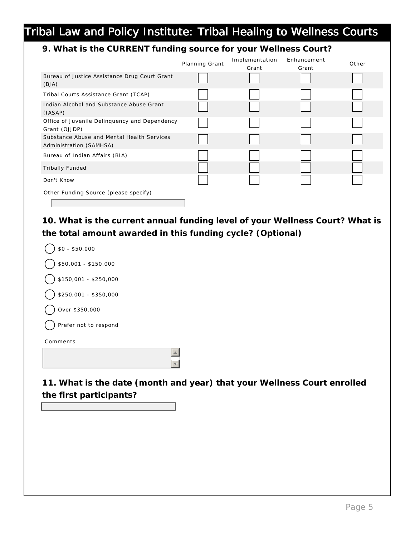## **9. What is the CURRENT funding source for your Wellness Court?**

|                                                                       | Planning Grant | Implementation<br>Grant | Enhancement<br>Grant | Other |
|-----------------------------------------------------------------------|----------------|-------------------------|----------------------|-------|
| Bureau of Justice Assistance Drug Court Grant<br>(BJA)                |                |                         |                      |       |
| Tribal Courts Assistance Grant (TCAP)                                 |                |                         |                      |       |
| Indian Alcohol and Substance Abuse Grant<br>(IASAP)                   |                |                         |                      |       |
| Office of Juvenile Delinquency and Dependency<br>Grant (OJJDP)        |                |                         |                      |       |
| Substance Abuse and Mental Health Services<br>Administration (SAMHSA) |                |                         |                      |       |
| Bureau of Indian Affairs (BIA)                                        |                |                         |                      |       |
| <b>Tribally Funded</b>                                                |                |                         |                      |       |
| Don't Know                                                            |                |                         |                      |       |
| Other Funding Source (please specify)                                 |                |                         |                      |       |

**10. What is the current annual funding level of your Wellness Court? What is the total amount awarded in this funding cycle? (Optional)**

| $$0 - $50,000$        |
|-----------------------|
| \$50,001 - \$150,000  |
| \$150,001 - \$250,000 |
| \$250,001 - \$350,000 |
| Over \$350,000        |
| Prefer not to respond |
| Comments              |
|                       |
|                       |

**11. What is the date (month and year) that your Wellness Court enrolled the first participants?**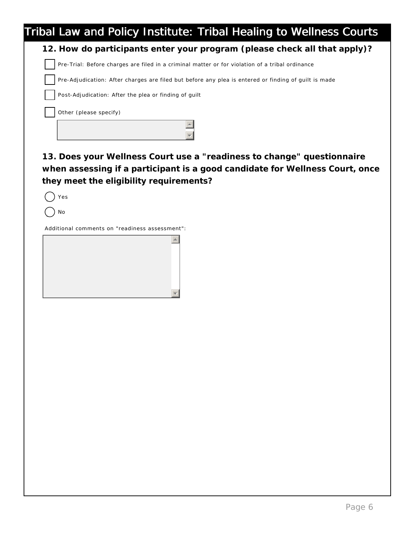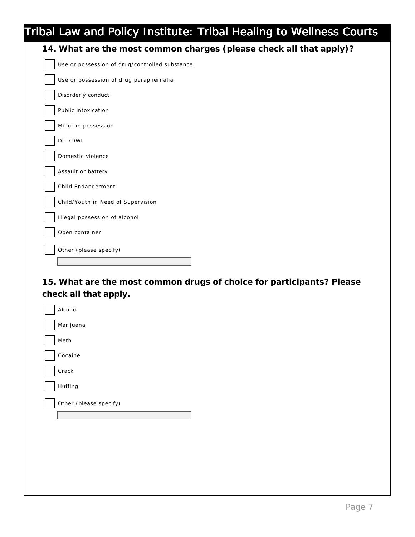| Tribal Law and Policy Institute: Tribal Healing to Wellness Courts  |
|---------------------------------------------------------------------|
| 14. What are the most common charges (please check all that apply)? |
| Use or possession of drug/controlled substance                      |
| Use or possession of drug paraphernalia                             |
| Disorderly conduct                                                  |
| Public intoxication                                                 |
| Minor in possession                                                 |
| DUI/DWI                                                             |
| Domestic violence                                                   |
| Assault or battery                                                  |
| Child Endangerment                                                  |
| Child/Youth in Need of Supervision                                  |
| Illegal possession of alcohol                                       |
| Open container                                                      |
| Other (please specify)                                              |
|                                                                     |

**15. What are the most common drugs of choice for participants? Please check all that apply.**

| Alcohol                |
|------------------------|
| Marijuana              |
| Meth                   |
| Cocaine                |
| Crack                  |
| Huffing                |
| Other (please specify) |
|                        |
|                        |
|                        |
|                        |
|                        |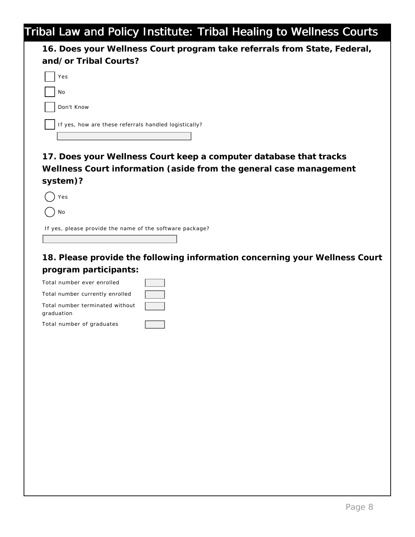**16. Does your Wellness Court program take referrals from State, Federal, and/or Tribal Courts?**  Yes No Don't Know If yes, how are these referrals handled logistically?

**17. Does your Wellness Court keep a computer database that tracks Wellness Court information (aside from the general case management system)?**

 $()$  Yes

) No

If yes, please provide the name of the software package?

**18. Please provide the following information concerning your Wellness Court program participants:** 

| Total number ever enrolled                    |  |
|-----------------------------------------------|--|
| Total number currently enrolled               |  |
| Total number terminated without<br>graduation |  |
| Total number of graduates                     |  |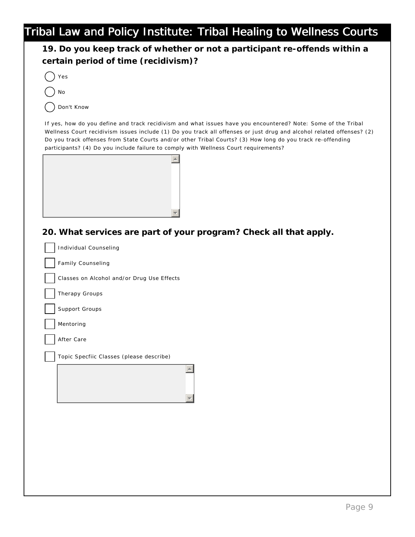| certain period of time (recidivism)?<br>Yes<br>No<br>Don't Know<br>If yes, how do you define and track recidivism and what issues have you encountered? Note: Some of the Tribal<br>Wellness Court recidivism issues include (1) Do you track all offenses or just drug and alcohol related offenses? (2)<br>Do you track offenses from State Courts and/or other Tribal Courts? (3) How long do you track re-offending<br>participants? (4) Do you include failure to comply with Wellness Court requirements?<br>20. What services are part of your program? Check all that apply.<br><b>Individual Counseling</b><br>Family Counseling<br>Classes on Alcohol and/or Drug Use Effects<br>Therapy Groups<br>Support Groups<br>Mentoring<br>After Care<br>Topic Specfiic Classes (please describe) | 19. Do you keep track of whether or not a participant re-offends within a |
|----------------------------------------------------------------------------------------------------------------------------------------------------------------------------------------------------------------------------------------------------------------------------------------------------------------------------------------------------------------------------------------------------------------------------------------------------------------------------------------------------------------------------------------------------------------------------------------------------------------------------------------------------------------------------------------------------------------------------------------------------------------------------------------------------|---------------------------------------------------------------------------|
|                                                                                                                                                                                                                                                                                                                                                                                                                                                                                                                                                                                                                                                                                                                                                                                                    |                                                                           |
|                                                                                                                                                                                                                                                                                                                                                                                                                                                                                                                                                                                                                                                                                                                                                                                                    |                                                                           |
|                                                                                                                                                                                                                                                                                                                                                                                                                                                                                                                                                                                                                                                                                                                                                                                                    |                                                                           |
|                                                                                                                                                                                                                                                                                                                                                                                                                                                                                                                                                                                                                                                                                                                                                                                                    |                                                                           |
|                                                                                                                                                                                                                                                                                                                                                                                                                                                                                                                                                                                                                                                                                                                                                                                                    |                                                                           |
|                                                                                                                                                                                                                                                                                                                                                                                                                                                                                                                                                                                                                                                                                                                                                                                                    |                                                                           |
|                                                                                                                                                                                                                                                                                                                                                                                                                                                                                                                                                                                                                                                                                                                                                                                                    |                                                                           |
|                                                                                                                                                                                                                                                                                                                                                                                                                                                                                                                                                                                                                                                                                                                                                                                                    |                                                                           |
|                                                                                                                                                                                                                                                                                                                                                                                                                                                                                                                                                                                                                                                                                                                                                                                                    |                                                                           |
|                                                                                                                                                                                                                                                                                                                                                                                                                                                                                                                                                                                                                                                                                                                                                                                                    |                                                                           |
|                                                                                                                                                                                                                                                                                                                                                                                                                                                                                                                                                                                                                                                                                                                                                                                                    |                                                                           |
|                                                                                                                                                                                                                                                                                                                                                                                                                                                                                                                                                                                                                                                                                                                                                                                                    |                                                                           |
|                                                                                                                                                                                                                                                                                                                                                                                                                                                                                                                                                                                                                                                                                                                                                                                                    |                                                                           |
|                                                                                                                                                                                                                                                                                                                                                                                                                                                                                                                                                                                                                                                                                                                                                                                                    |                                                                           |
|                                                                                                                                                                                                                                                                                                                                                                                                                                                                                                                                                                                                                                                                                                                                                                                                    |                                                                           |
|                                                                                                                                                                                                                                                                                                                                                                                                                                                                                                                                                                                                                                                                                                                                                                                                    |                                                                           |
|                                                                                                                                                                                                                                                                                                                                                                                                                                                                                                                                                                                                                                                                                                                                                                                                    |                                                                           |
|                                                                                                                                                                                                                                                                                                                                                                                                                                                                                                                                                                                                                                                                                                                                                                                                    |                                                                           |
|                                                                                                                                                                                                                                                                                                                                                                                                                                                                                                                                                                                                                                                                                                                                                                                                    |                                                                           |
|                                                                                                                                                                                                                                                                                                                                                                                                                                                                                                                                                                                                                                                                                                                                                                                                    |                                                                           |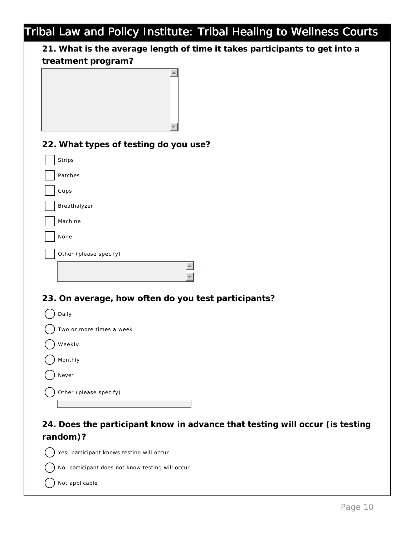**21. What is the average length of time it takes participants to get into a treatment program?**

| u camicht program:                                                           |
|------------------------------------------------------------------------------|
|                                                                              |
| 22. What types of testing do you use?                                        |
| Strips                                                                       |
| Patches                                                                      |
| Cups                                                                         |
| Breathalyzer                                                                 |
| Machine                                                                      |
| None                                                                         |
| Other (please specify)                                                       |
|                                                                              |
| 23. On average, how often do you test participants?                          |
| Daily                                                                        |
| Two or more times a week                                                     |
| Weekly                                                                       |
| Monthly                                                                      |
| Never                                                                        |
| Other (please specify)                                                       |
|                                                                              |
| 24. Does the participant know in advance that testing will occur (is testing |

**random)?**

Yes, participant knows testing will occur

No, participant does not know testing will occur

Not applicable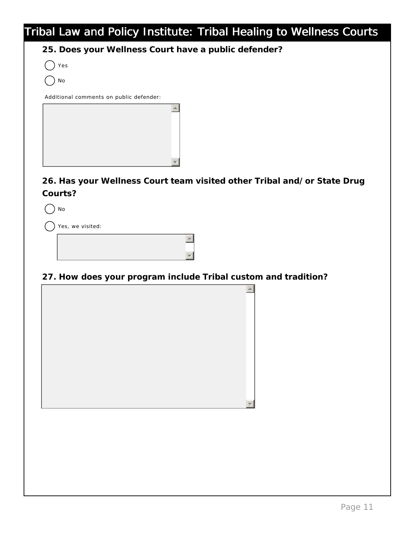**25. Does your Wellness Court have a public defender?**

|--|--|

No

Additional comments on public defender:

**26. Has your Wellness Court team visited other Tribal and/or State Drug Courts?**

) No

Yes, we visited:

**27. How does your program include Tribal custom and tradition?**

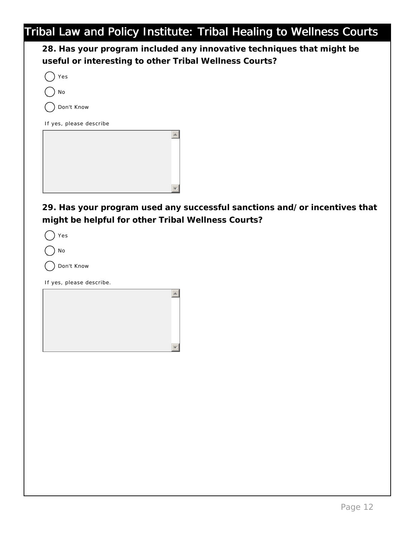**28. Has your program included any innovative techniques that might be useful or interesting to other Tribal Wellness Courts?**

| Yes                     |  |
|-------------------------|--|
| No                      |  |
| Don't Know              |  |
| If yes, please describe |  |
|                         |  |
|                         |  |
|                         |  |
|                         |  |

**29. Has your program used any successful sanctions and/or incentives that might be helpful for other Tribal Wellness Courts?** 

|--|--|

| NΙ∩ |
|-----|
|     |

Don't Know

If yes, please describe.

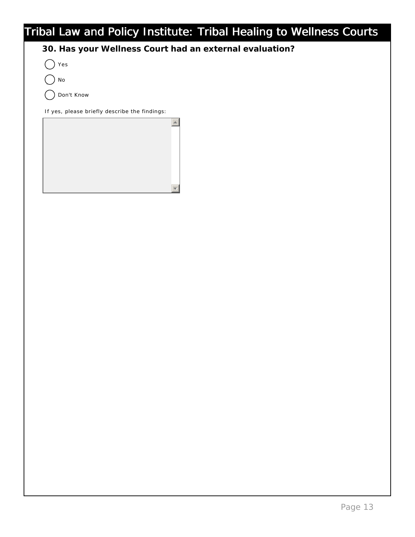**30. Has your Wellness Court had an external evaluation?**

Yes

No

Don't Know

If yes, please briefly describe the findings:

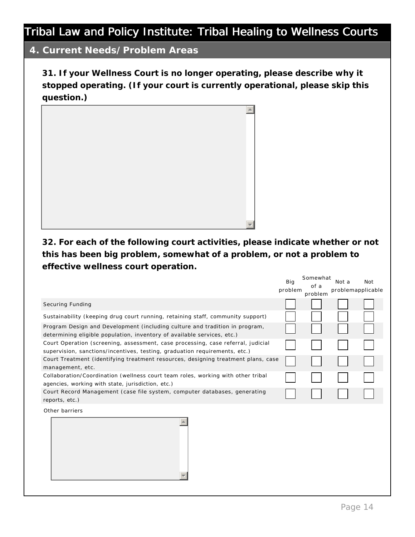## **4. Current Needs/Problem Areas**

**31. If your Wellness Court is no longer operating, please describe why it stopped operating. (If your court is currently operational, please skip this question.)**



**32. For each of the following court activities, please indicate whether or not this has been big problem, somewhat of a problem, or not a problem to effective wellness court operation.**

|                                                                                                                                                                | Big     | Somewhat        | Not a | Not               |
|----------------------------------------------------------------------------------------------------------------------------------------------------------------|---------|-----------------|-------|-------------------|
|                                                                                                                                                                | problem | of a<br>problem |       | problemapplicable |
| Securing Funding                                                                                                                                               |         |                 |       |                   |
| Sustainability (keeping drug court running, retaining staff, community support)                                                                                |         |                 |       |                   |
| Program Design and Development (including culture and tradition in program,<br>determining eligible population, inventory of available services, etc.)         |         |                 |       |                   |
| Court Operation (screening, assessment, case processing, case referral, judicial<br>supervision, sanctions/incentives, testing, graduation requirements, etc.) |         |                 |       |                   |
| Court Treatment (identifying treatment resources, designing treatment plans, case<br>management, etc.                                                          |         |                 |       |                   |
| Collaboration/Coordination (wellness court team roles, working with other tribal<br>agencies, working with state, jurisdiction, etc.)                          |         |                 |       |                   |
| Court Record Management (case file system, computer databases, generating<br>reports, etc.)                                                                    |         |                 |       |                   |
| Other barriers                                                                                                                                                 |         |                 |       |                   |
|                                                                                                                                                                |         |                 |       |                   |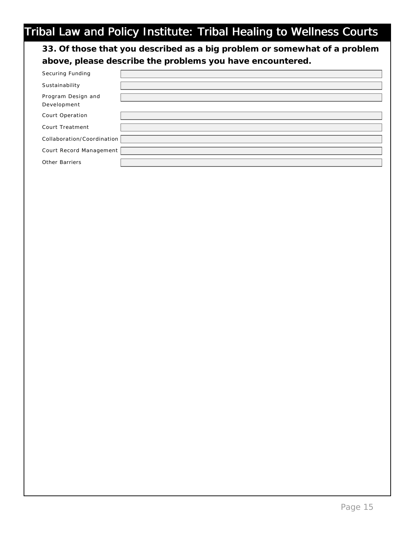**33. Of those that you described as a big problem or somewhat of a problem above, please describe the problems you have encountered.**

| Securing Funding                  |  |
|-----------------------------------|--|
| Sustainability                    |  |
| Program Design and<br>Development |  |
| Court Operation                   |  |
| Court Treatment                   |  |
| Collaboration/Coordination        |  |
| Court Record Management           |  |
| <b>Other Barriers</b>             |  |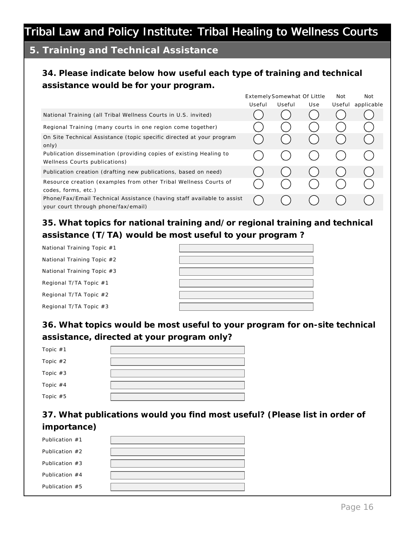## **5. Training and Technical Assistance**

## **34. Please indicate below how useful each type of training and technical assistance would be for your program.**

|                                                                                                               |        | Extemely Somewhat Of Little |     | Not    | <b>Not</b> |
|---------------------------------------------------------------------------------------------------------------|--------|-----------------------------|-----|--------|------------|
|                                                                                                               | Useful | Useful                      | Use | Useful | applicable |
| National Training (all Tribal Wellness Courts in U.S. invited)                                                |        |                             |     |        |            |
| Regional Training (many courts in one region come together)                                                   |        |                             |     |        |            |
| On Site Technical Assistance (topic specific directed at your program<br>only)                                |        |                             |     |        |            |
| Publication dissemination (providing copies of existing Healing to<br>Wellness Courts publications)           |        |                             |     |        |            |
| Publication creation (drafting new publications, based on need)                                               |        |                             |     |        |            |
| Resource creation (examples from other Tribal Wellness Courts of<br>codes, forms, etc.)                       |        |                             |     |        |            |
| Phone/Fax/Email Technical Assistance (having staff available to assist<br>your court through phone/fax/email) |        |                             |     |        |            |

**35. What topics for national training and/or regional training and technical assistance (T/TA) would be most useful to your program ?**

| National Training Topic #1 |  |
|----------------------------|--|
| National Training Topic #2 |  |
| National Training Topic #3 |  |
| Regional T/TA Topic #1     |  |
| Regional T/TA Topic #2     |  |
| Regional T/TA Topic #3     |  |

**36. What topics would be most useful to your program for on-site technical assistance, directed at your program only?**

| Topic #1   |  |
|------------|--|
| Topic #2   |  |
| Topic #3   |  |
| Topic $#4$ |  |
| Topic #5   |  |

**37. What publications would you find most useful? (Please list in order of importance)**

| Publication #1   |  |
|------------------|--|
| Publication $#2$ |  |
| Publication $#3$ |  |
| Publication $#4$ |  |
| Publication $#5$ |  |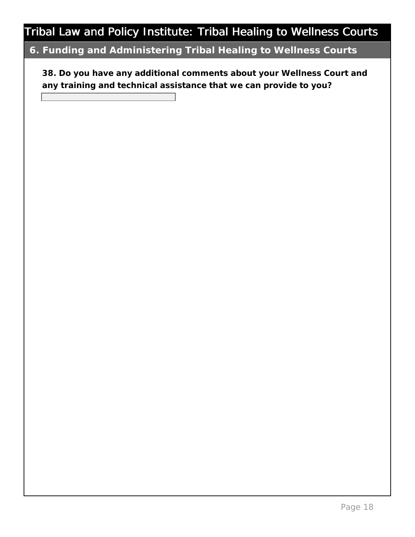## **6. Funding and Administering Tribal Healing to Wellness Courts**

**38. Do you have any additional comments about your Wellness Court and any training and technical assistance that we can provide to you?**